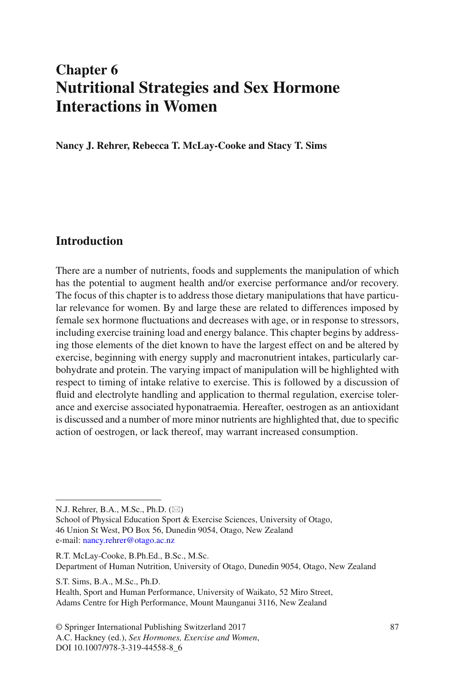# **Chapter 6 Nutritional Strategies and Sex Hormone Interactions in Women**

Nancy J. Rehrer, Rebecca T. McLay-Cooke and Stacy T. Sims

## **Introduction**

 There are a number of nutrients, foods and supplements the manipulation of which has the potential to augment health and/or exercise performance and/or recovery. The focus of this chapter is to address those dietary manipulations that have particular relevance for women. By and large these are related to differences imposed by female sex hormone fluctuations and decreases with age, or in response to stressors, including exercise training load and energy balance. This chapter begins by addressing those elements of the diet known to have the largest effect on and be altered by exercise, beginning with energy supply and macronutrient intakes, particularly carbohydrate and protein. The varying impact of manipulation will be highlighted with respect to timing of intake relative to exercise. This is followed by a discussion of fluid and electrolyte handling and application to thermal regulation, exercise tolerance and exercise associated hyponatraemia . Hereafter, oestrogen as an antioxidant is discussed and a number of more minor nutrients are highlighted that, due to specific action of oestrogen, or lack thereof, may warrant increased consumption.

N.J. Rehrer, B.A., M.Sc., Ph.D. (⊠)

R.T. McLay-Cooke, B.Ph.Ed., B.Sc., M.Sc. Department of Human Nutrition, University of Otago, Dunedin 9054, Otago, New Zealand

S. T. Sims , B.A., M.Sc., Ph.D.

Health, Sport and Human Performance, University of Waikato, 52 Miro Street, Adams Centre for High Performance, Mount Maunganui 3116, New Zealand

© Springer International Publishing Switzerland 2017 87 A.C. Hackney (ed.), *Sex Hormones, Exercise and Women*, DOI 10.1007/978-3-319-44558-8\_6

School of Physical Education Sport & Exercise Sciences, University of Otago, 46 Union St West, PO Box 56, Dunedin 9054, Otago, New Zealand e-mail: [nancy.rehrer@otago.ac.nz](mailto:nancy.rehrer@otago.ac.nz)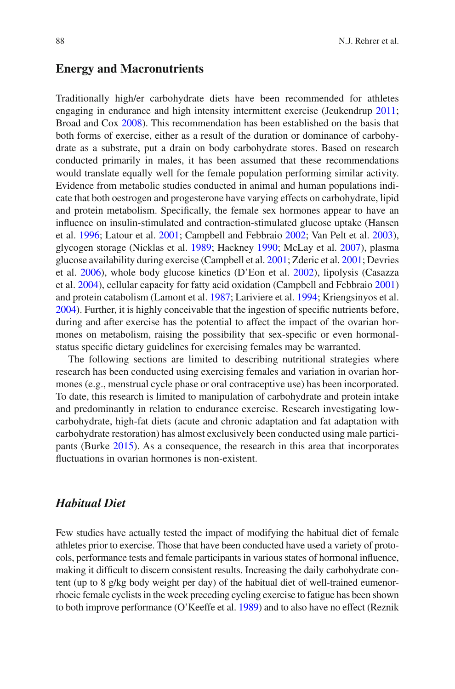## **Energy and Macronutrients**

 Traditionally high/er carbohydrate diets have been recommended for athletes engaging in endurance and high intensity intermittent exercise (Jeukendrup 2011; Broad and Cox [2008](#page-19-0)). This recommendation has been established on the basis that both forms of exercise, either as a result of the duration or dominance of carbohydrate as a substrate, put a drain on body carbohydrate stores. Based on research conducted primarily in males, it has been assumed that these recommendations would translate equally well for the female population performing similar activity. Evidence from metabolic studies conducted in animal and human populations indicate that both oestrogen and progesterone have varying effects on carbohydrate, lipid and protein metabolism. Specifically, the female sex hormones appear to have an influence on insulin-stimulated and contraction-stimulated glucose uptake (Hansen et al. [1996](#page-21-0); Latour et al. [2001](#page-22-0); Campbell and Febbraio [2002](#page-19-0); Van Pelt et al. 2003), glycogen storage (Nicklas et al. [1989](#page-23-0) ; Hackney [1990](#page-21-0) ; McLay et al. [2007 \)](#page-22-0), plasma glucose availability during exercise (Campbell et al. [2001](#page-25-0); Zderic et al. 2001; Devries et al. 2006), whole body glucose kinetics (D'Eon et al. [2002](#page-20-0)), lipolysis (Casazza et al. [2004](#page-19-0)), cellular capacity for fatty acid oxidation (Campbell and Febbraio [2001](#page-19-0)) and protein catabolism (Lamont et al. [1987 ;](#page-22-0) Lariviere et al. [1994 ;](#page-22-0) Kriengsinyos et al. 2004). Further, it is highly conceivable that the ingestion of specific nutrients before, during and after exercise has the potential to affect the impact of the ovarian hormones on metabolism, raising the possibility that sex-specific or even hormonalstatus specific dietary guidelines for exercising females may be warranted.

 The following sections are limited to describing nutritional strategies where research has been conducted using exercising females and variation in ovarian hormones (e.g., menstrual cycle phase or oral contraceptive use) has been incorporated. To date, this research is limited to manipulation of carbohydrate and protein intake and predominantly in relation to endurance exercise . Research investigating lowcarbohydrate, high-fat diets (acute and chronic adaptation and fat adaptation with carbohydrate restoration) has almost exclusively been conducted using male participants (Burke [2015](#page-19-0) ). As a consequence, the research in this area that incorporates fluctuations in ovarian hormones is non-existent.

# *Habitual Diet*

 Few studies have actually tested the impact of modifying the habitual diet of female athletes prior to exercise. Those that have been conducted have used a variety of protocols, performance tests and female participants in various states of hormonal influence, making it difficult to discern consistent results. Increasing the daily carbohydrate content (up to 8 g/kg body weight per day) of the habitual diet of well-trained eumenorrhoeic female cyclists in the week preceding cycling exercise to fatigue has been shown to both improve performance (O'Keeffe et al. [1989 \)](#page-23-0) and to also have no effect (Reznik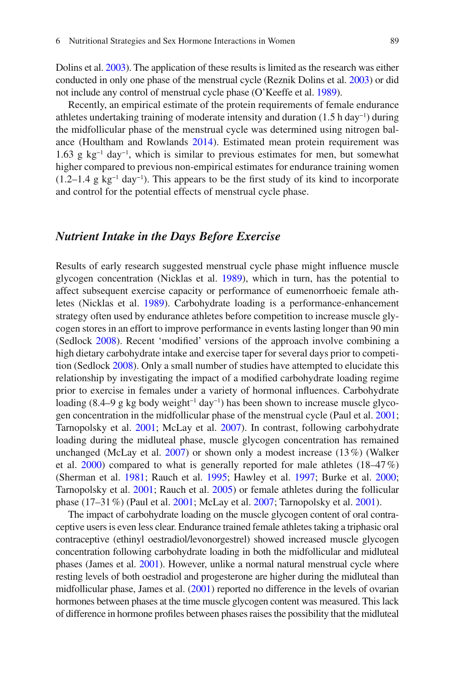Dolins et al. [2003 \)](#page-23-0). The application of these results is limited as the research was either conducted in only one phase of the menstrual cycle (Reznik Dolins et al. 2003) or did not include any control of menstrual cycle phase (O'Keeffe et al. [1989](#page-23-0)).

 Recently, an empirical estimate of the protein requirements of female endurance athletes undertaking training of moderate intensity and duration  $(1.5 h \text{ day}^{-1})$  during the midfollicular phase of the menstrual cycle was determined using nitrogen balance (Houltham and Rowlands  $2014$ ). Estimated mean protein requirement was 1.63 g kg<sup>-1</sup> day<sup>-1</sup>, which is similar to previous estimates for men, but somewhat higher compared to previous non-empirical estimates for endurance training women  $(1.2-1.4 \text{ g kg}^{-1} \text{ day}^{-1})$ . This appears to be the first study of its kind to incorporate and control for the potential effects of menstrual cycle phase.

### *Nutrient Intake in the Days Before Exercise*

Results of early research suggested menstrual cycle phase might influence muscle glycogen concentration (Nicklas et al. [1989](#page-23-0) ), which in turn, has the potential to affect subsequent exercise capacity or performance of eumenorrhoeic female athletes (Nicklas et al. 1989). Carbohydrate loading is a performance-enhancement strategy often used by endurance athletes before competition to increase muscle glycogen stores in an effort to improve performance in events lasting longer than 90 min (Sedlock 2008). Recent 'modified' versions of the approach involve combining a high dietary carbohydrate intake and exercise taper for several days prior to competition (Sedlock 2008). Only a small number of studies have attempted to elucidate this relationship by investigating the impact of a modified carbohydrate loading regime prior to exercise in females under a variety of hormonal influences. Carbohydrate loading (8.4–9 g kg body weight<sup>-1</sup> day<sup>-1</sup>) has been shown to increase muscle glycogen concentration in the midfollicular phase of the menstrual cycle (Paul et al. [2001 ;](#page-23-0) Tarnopolsky et al. 2001; McLay et al. [2007](#page-22-0)). In contrast, following carbohydrate loading during the midluteal phase, muscle glycogen concentration has remained unchanged (McLay et al.  $2007$ ) or shown only a modest increase (13%) (Walker et al.  $2000$ ) compared to what is generally reported for male athletes  $(18-47\%)$ (Sherman et al. [1981](#page-24-0); Rauch et al. [1995](#page-23-0); Hawley et al. [1997](#page-21-0); Burke et al. 2000; Tarnopolsky et al. 2001; Rauch et al. 2005) or female athletes during the follicular phase (17–31 %) (Paul et al. [2001](#page-25-0); McLay et al. 2007; Tarnopolsky et al. 2001).

 The impact of carbohydrate loading on the muscle glycogen content of oral contraceptive users is even less clear. Endurance trained female athletes taking a triphasic oral contraceptive (ethinyl oestradiol/levonorgestrel) showed increased muscle glycogen concentration following carbohydrate loading in both the midfollicular and midluteal phases (James et al. 2001). However, unlike a normal natural menstrual cycle where resting levels of both oestradiol and progesterone are higher during the midluteal than midfollicular phase, James et al. (2001) reported no difference in the levels of ovarian hormones between phases at the time muscle glycogen content was measured. This lack of difference in hormone profiles between phases raises the possibility that the midluteal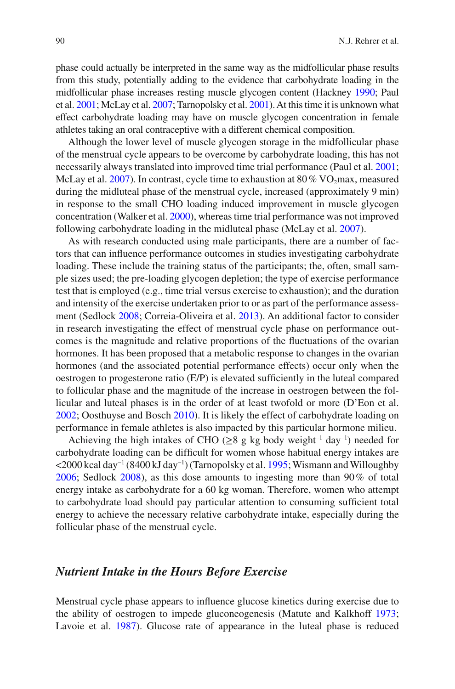phase could actually be interpreted in the same way as the midfollicular phase results from this study, potentially adding to the evidence that carbohydrate loading in the midfollicular phase increases resting muscle glycogen content (Hackney [1990](#page-21-0); Paul et al. [2001](#page-25-0); McLay et al. 2007; Tarnopolsky et al. 2001). At this time it is unknown what effect carbohydrate loading may have on muscle glycogen concentration in female athletes taking an oral contraceptive with a different chemical composition.

 Although the lower level of muscle glycogen storage in the midfollicular phase of the menstrual cycle appears to be overcome by carbohydrate loading, this has not necessarily always translated into improved time trial performance (Paul et al. 2001; McLay et al. 2007). In contrast, cycle time to exhaustion at  $80\%$  VO<sub>2</sub>max, measured during the midluteal phase of the menstrual cycle, increased (approximately 9 min) in response to the small CHO loading induced improvement in muscle glycogen concentration (Walker et al. [2000 \)](#page-25-0), whereas time trial performance was not improved following carbohydrate loading in the midluteal phase (McLay et al. [2007](#page-22-0)).

 As with research conducted using male participants, there are a number of factors that can influence performance outcomes in studies investigating carbohydrate loading. These include the training status of the participants; the, often, small sample sizes used; the pre-loading glycogen depletion; the type of exercise performance test that is employed (e.g., time trial versus exercise to exhaustion); and the duration and intensity of the exercise undertaken prior to or as part of the performance assess-ment (Sedlock [2008](#page-24-0); Correia-Oliveira et al. [2013](#page-20-0)). An additional factor to consider in research investigating the effect of menstrual cycle phase on performance outcomes is the magnitude and relative proportions of the fluctuations of the ovarian hormones . It has been proposed that a metabolic response to changes in the ovarian hormones (and the associated potential performance effects) occur only when the oestrogen to progesterone ratio (E/P) is elevated sufficiently in the luteal compared to follicular phase and the magnitude of the increase in oestrogen between the follicular and luteal phases is in the order of at least twofold or more (D'Eon et al. 2002; Oosthuyse and Bosch 2010). It is likely the effect of carbohydrate loading on performance in female athletes is also impacted by this particular hormone milieu.

Achieving the high intakes of CHO ( $\geq$ 8 g kg body weight<sup>-1</sup> day<sup>-1</sup>) needed for carbohydrate loading can be difficult for women whose habitual energy intakes are <2000 kcal day<sup>-1</sup> (8400 kJ day<sup>-1</sup>) (Tarnopolsky et al. [1995](#page-25-0); Wismann and Willoughby  $2006$ ; Sedlock  $2008$ ), as this dose amounts to ingesting more than 90% of total energy intake as carbohydrate for a 60 kg woman. Therefore, women who attempt to carbohydrate load should pay particular attention to consuming sufficient total energy to achieve the necessary relative carbohydrate intake, especially during the follicular phase of the menstrual cycle .

#### *Nutrient Intake in the Hours Before Exercise*

Menstrual cycle phase appears to influence glucose kinetics during exercise due to the ability of oestrogen to impede gluconeogenesis (Matute and Kalkhoff [1973 ;](#page-22-0) Lavoie et al. 1987). Glucose rate of appearance in the luteal phase is reduced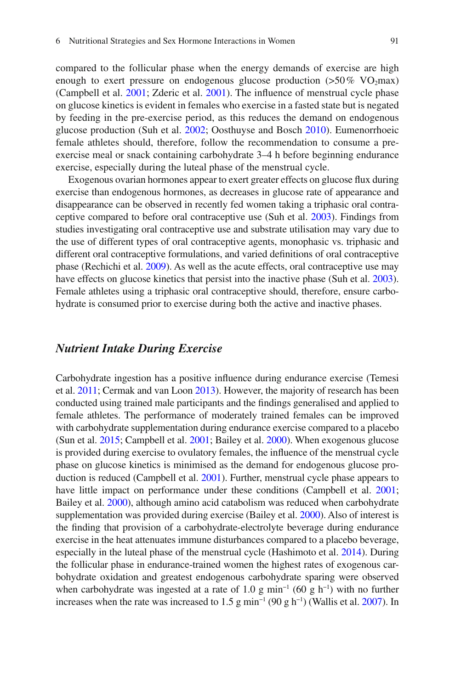compared to the follicular phase when the energy demands of exercise are high enough to exert pressure on endogenous glucose production  $(50\% \text{ VO}_{2} \text{max})$ (Campbell et al.  $2001$ ; Zderic et al.  $2001$ ). The influence of menstrual cycle phase on glucose kinetics is evident in females who exercise in a fasted state but is negated by feeding in the pre-exercise period, as this reduces the demand on endogenous glucose production (Suh et al. [2002 ;](#page-25-0) Oosthuyse and Bosch [2010](#page-23-0) ). Eumenorrhoeic female athletes should, therefore, follow the recommendation to consume a preexercise meal or snack containing carbohydrate 3–4 h before beginning endurance exercise, especially during the luteal phase of the menstrual cycle .

Exogenous ovarian hormones appear to exert greater effects on glucose flux during exercise than endogenous hormones, as decreases in glucose rate of appearance and disappearance can be observed in recently fed women taking a triphasic oral contraceptive compared to before oral contraceptive use (Suh et al. [2003](#page-25-0) ). Findings from studies investigating oral contraceptive use and substrate utilisation may vary due to the use of different types of oral contraceptive agents, monophasic vs. triphasic and different oral contraceptive formulations, and varied definitions of oral contraceptive phase (Rechichi et al. [2009](#page-23-0)). As well as the acute effects, oral contraceptive use may have effects on glucose kinetics that persist into the inactive phase (Suh et al. 2003). Female athletes using a triphasic oral contraceptive should, therefore, ensure carbohydrate is consumed prior to exercise during both the active and inactive phases.

## *Nutrient Intake During Exercise*

Carbohydrate ingestion has a positive influence during endurance exercise (Temesi et al. [2011](#page-25-0) ; Cermak and van Loon [2013](#page-19-0) ). However, the majority of research has been conducted using trained male participants and the findings generalised and applied to female athletes. The performance of moderately trained females can be improved with carbohydrate supplementation during endurance exercise compared to a placebo (Sun et al. 2015; Campbell et al. 2001; Bailey et al. [2000](#page-19-0)). When exogenous glucose is provided during exercise to ovulatory females, the influence of the menstrual cycle phase on glucose kinetics is minimised as the demand for endogenous glucose pro-duction is reduced (Campbell et al. [2001](#page-19-0)). Further, menstrual cycle phase appears to have little impact on performance under these conditions (Campbell et al. 2001; Bailey et al. [2000](#page-19-0)), although amino acid catabolism was reduced when carbohydrate supplementation was provided during exercise (Bailey et al. [2000](#page-19-0)). Also of interest is the finding that provision of a carbohydrate-electrolyte beverage during endurance exercise in the heat attenuates immune disturbances compared to a placebo beverage, especially in the luteal phase of the menstrual cycle (Hashimoto et al. [2014](#page-21-0)). During the follicular phase in endurance-trained women the highest rates of exogenous carbohydrate oxidation and greatest endogenous carbohydrate sparing were observed when carbohydrate was ingested at a rate of 1.0 g min<sup>-1</sup> (60 g h<sup>-1</sup>) with no further increases when the rate was increased to 1.5 g min<sup>-1</sup> (90 g h<sup>-1</sup>) (Wallis et al. [2007](#page-25-0)). In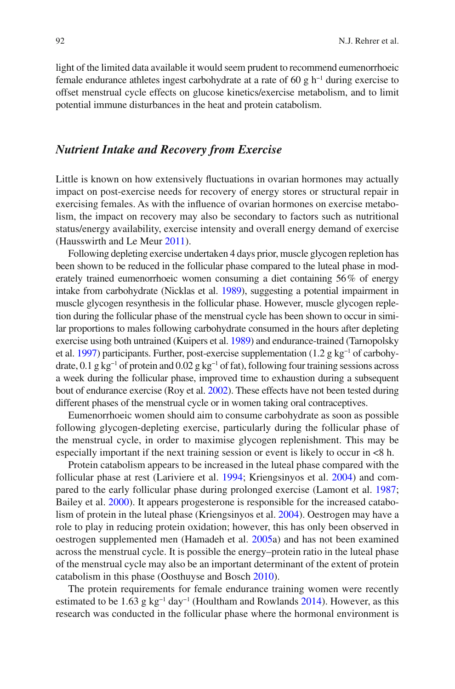light of the limited data available it would seem prudent to recommend eumenorrhoeic female endurance athletes ingest carbohydrate at a rate of 60 g h<sup>-1</sup> during exercise to offset menstrual cycle effects on glucose kinetics/exercise metabolism, and to limit potential immune disturbances in the heat and protein catabolism.

#### *Nutrient Intake and Recovery from Exercise*

Little is known on how extensively fluctuations in ovarian hormones may actually impact on post-exercise needs for recovery of energy stores or structural repair in exercising females. As with the influence of ovarian hormones on exercise metabolism, the impact on recovery may also be secondary to factors such as nutritional status/energy availability, exercise intensity and overall energy demand of exercise (Hausswirth and Le Meur [2011](#page-21-0)).

 Following depleting exercise undertaken 4 days prior, muscle glycogen repletion has been shown to be reduced in the follicular phase compared to the luteal phase in moderately trained eumenorrhoeic women consuming a diet containing 56 % of energy intake from carbohydrate (Nicklas et al. [1989](#page-23-0)), suggesting a potential impairment in muscle glycogen resynthesis in the follicular phase. However, muscle glycogen repletion during the follicular phase of the menstrual cycle has been shown to occur in similar proportions to males following carbohydrate consumed in the hours after depleting exercise using both untrained (Kuipers et al. [1989](#page-22-0) ) and endurance- trained (Tarnopolsky et al. 1997) participants. Further, post-exercise supplementation (1.2 g kg<sup>-1</sup> of carbohydrate, 0.1 g kg<sup>-1</sup> of protein and 0.02 g kg<sup>-1</sup> of fat), following four training sessions across a week during the follicular phase, improved time to exhaustion during a subsequent bout of endurance exercise (Roy et al. [2002](#page-24-0)). These effects have not been tested during different phases of the menstrual cycle or in women taking oral contraceptives.

 Eumenorrhoeic women should aim to consume carbohydrate as soon as possible following glycogen-depleting exercise, particularly during the follicular phase of the menstrual cycle, in order to maximise glycogen replenishment. This may be especially important if the next training session or event is likely to occur in <8 h.

 Protein catabolism appears to be increased in the luteal phase compared with the follicular phase at rest (Lariviere et al. 1994; Kriengsinyos et al. 2004) and compared to the early follicular phase during prolonged exercise (Lamont et al. 1987; Bailey et al. 2000). It appears progesterone is responsible for the increased catabolism of protein in the luteal phase (Kriengsinyos et al. 2004). Oestrogen may have a role to play in reducing protein oxidation; however, this has only been observed in oestrogen supplemented men (Hamadeh et al. [2005](#page-21-0)a) and has not been examined across the menstrual cycle . It is possible the energy–protein ratio in the luteal phase of the menstrual cycle may also be an important determinant of the extent of protein catabolism in this phase (Oosthuyse and Bosch 2010).

 The protein requirements for female endurance training women were recently estimated to be 1.63 g kg<sup>-1</sup> day<sup>-1</sup> (Houltham and Rowlands 2014). However, as this research was conducted in the follicular phase where the hormonal environment is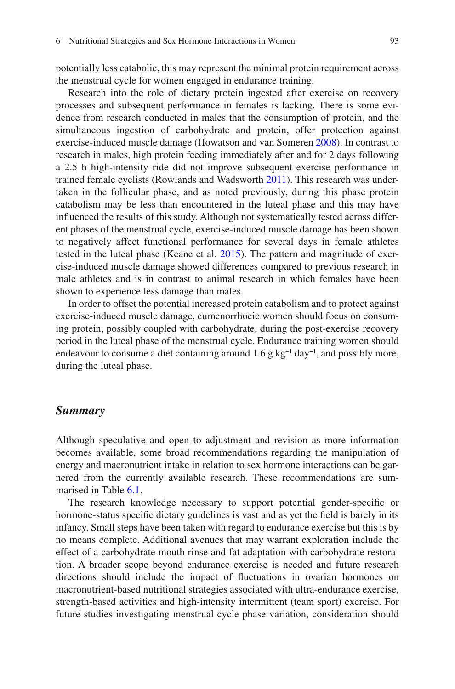potentially less catabolic, this may represent the minimal protein requirement across the menstrual cycle for women engaged in endurance training.

 Research into the role of dietary protein ingested after exercise on recovery processes and subsequent performance in females is lacking. There is some evidence from research conducted in males that the consumption of protein, and the simultaneous ingestion of carbohydrate and protein, offer protection against exercise- induced muscle damage (Howatson and van Someren [2008](#page-21-0) ). In contrast to research in males, high protein feeding immediately after and for 2 days following a 2.5 h high-intensity ride did not improve subsequent exercise performance in trained female cyclists (Rowlands and Wadsworth [2011 \)](#page-23-0). This research was undertaken in the follicular phase, and as noted previously, during this phase protein catabolism may be less than encountered in the luteal phase and this may have influenced the results of this study. Although not systematically tested across different phases of the menstrual cycle , exercise-induced muscle damage has been shown to negatively affect functional performance for several days in female athletes tested in the luteal phase (Keane et al. 2015). The pattern and magnitude of exercise-induced muscle damage showed differences compared to previous research in male athletes and is in contrast to animal research in which females have been shown to experience less damage than males.

 In order to offset the potential increased protein catabolism and to protect against exercise-induced muscle damage, eumenorrhoeic women should focus on consuming protein, possibly coupled with carbohydrate, during the post-exercise recovery period in the luteal phase of the menstrual cycle . Endurance training women should endeavour to consume a diet containing around 1.6 g kg<sup>-1</sup> day<sup>-1</sup>, and possibly more, during the luteal phase.

#### *Summary*

 Although speculative and open to adjustment and revision as more information becomes available, some broad recommendations regarding the manipulation of energy and macronutrient intake in relation to sex hormone interactions can be garnered from the currently available research. These recommendations are sum-marised in Table [6.1](#page-7-0).

The research knowledge necessary to support potential gender-specific or hormone-status specific dietary guidelines is vast and as yet the field is barely in its infancy. Small steps have been taken with regard to endurance exercise but this is by no means complete. Additional avenues that may warrant exploration include the effect of a carbohydrate mouth rinse and fat adaptation with carbohydrate restoration. A broader scope beyond endurance exercise is needed and future research directions should include the impact of fluctuations in ovarian hormones on macronutrient- based nutritional strategies associated with ultra-endurance exercise, strength-based activities and high-intensity intermittent (team sport) exercise. For future studies investigating menstrual cycle phase variation, consideration should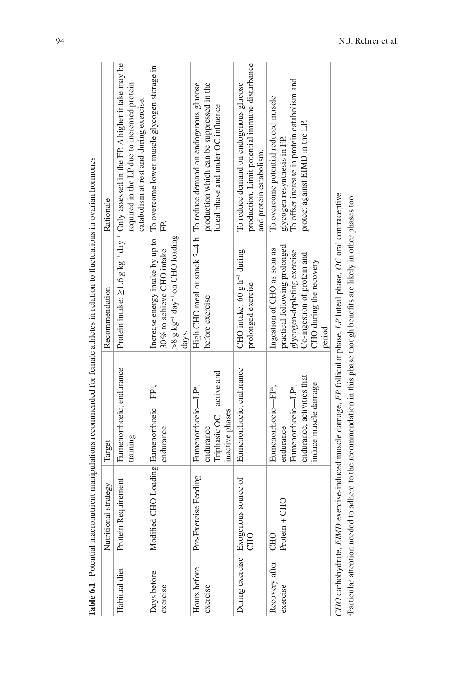<span id="page-7-0"></span>

|                            |                                                      |                                                                                                                         | Table 6.1 Potential macronutrient manipulations recommended for female athletes in relation to fluctuations in ovarian hormones                                 |                                                                                                                                                                                                           |
|----------------------------|------------------------------------------------------|-------------------------------------------------------------------------------------------------------------------------|-----------------------------------------------------------------------------------------------------------------------------------------------------------------|-----------------------------------------------------------------------------------------------------------------------------------------------------------------------------------------------------------|
|                            | nal strategy<br>Nutrition                            | Target                                                                                                                  | Recommendation                                                                                                                                                  | Rationale                                                                                                                                                                                                 |
| Habitual diet              | Requirement<br>Protein                               | Eumenorrhoeic, endurance<br>training                                                                                    |                                                                                                                                                                 | Protein intake: $\geq$ 1.6 g kg <sup>-1</sup> day <sup>-1</sup> Only assessed in the FP. A higher intake may be<br>required in the LP due to increased protein<br>catabolism at rest and during exercise. |
| Days before<br>exercise    | Modified CHO Loading Eumenorrhoeic-FP <sup>®</sup> , | endurance                                                                                                               | $>8 g kg^{-1} day^{-1}$ on CHO loading<br>30 % to achieve CHO intake<br>days.                                                                                   | Increase energy intake by up to   To overcome lower muscle glycogen storage in<br>Ë.                                                                                                                      |
| Hours before<br>exercise   | Pre-Exercise Feeding                                 | Triphasic OC—active and<br>Eumenorrhoeic-LP,<br>inactive phases<br>endurance                                            | before exercise                                                                                                                                                 | production which can be suppressed in the<br>High CHO meal or snack $3-4$ h To reduce demand on endogenous glucose<br>luteal phase and under OC influence                                                 |
|                            | During exercise   Exogenous source of<br>CHO         | Eumenorrhoeic, endurance                                                                                                | CHO intake: 60 g h <sup>-1</sup> during<br>prolonged exercise                                                                                                   | production. Limit potential immune disturbance<br>To reduce demand on endogenous glucose<br>and protein catabolism.                                                                                       |
| Recovery after<br>exercise | $-0.00 +$<br>Protein<br>CHO                          | endurance, activities that<br>induce muscle damage<br>Eumenorrhoeic-LP,<br>Eumenorrhoeic-FP <sup>*</sup> ,<br>endurance | practical following prolonged<br>Ingestion of CHO as soon as<br>glycogen-depleting exercise<br>Co-ingestion of protein and<br>CHO during the recovery<br>period | To offset increase in protein catabolism and<br>To overcome potential reduced muscle<br>protect against EIMD in the LP.<br>glycogen resynthesis in FP.                                                    |
| CHO carbohydrate, EIMD     |                                                      |                                                                                                                         | exercise-induced muscle damage, FP follicular phase, LP luteal phase, OC oral contraceptive                                                                     |                                                                                                                                                                                                           |

**Table 6.1** Potential macronutrient manipulations recommended for female athletes in relation to fluctuations in ovarian hormones l,  $\ddot{\phantom{a}}$  $\ddot{\phantom{a}}$  $\ddot{\phantom{a}}$  $\frac{1}{4}$  $\ddot{\phantom{a}}$  $\ddot{\phantom{a}}$  $\ddot{\phantom{a}}$  $\ddot{\phantom{a}}$ l,  $\ddot{\phantom{0}}$  $\frac{1}{2}$  $\frac{1}{2}$  $\ddot{\phantom{a}}$  $\ddot{\phantom{0}}$ Ś É Table 6.1

aParticular attention needed to adhere to the recommendation in this phase though benefits are likely in other phases too a Particular attention needed to adhere to the recommendation in this phase though benefi ts are likely in other phases too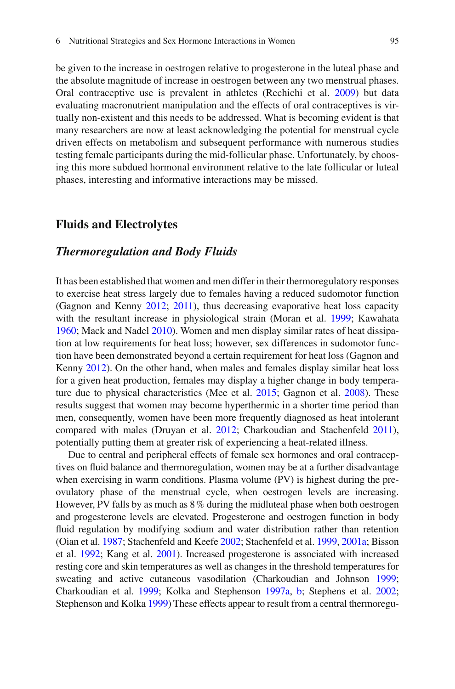be given to the increase in oestrogen relative to progesterone in the luteal phase and the absolute magnitude of increase in oestrogen between any two menstrual phases. Oral contraceptive use is prevalent in athletes (Rechichi et al. [2009](#page-23-0) ) but data evaluating macronutrient manipulation and the effects of oral contraceptives is virtually non-existent and this needs to be addressed. What is becoming evident is that many researchers are now at least acknowledging the potential for menstrual cycle driven effects on metabolism and subsequent performance with numerous studies testing female participants during the mid-follicular phase. Unfortunately, by choosing this more subdued hormonal environment relative to the late follicular or luteal phases, interesting and informative interactions may be missed.

#### **Fluids and Electrolytes**

#### *Thermoregulation and Body Fluids*

 It has been established that women and men differ in their thermoregulatory responses to exercise heat stress largely due to females having a reduced sudomotor function (Gagnon and Kenny  $2012$ ;  $2011$ ), thus decreasing evaporative heat loss capacity with the resultant increase in physiological strain (Moran et al. [1999](#page-23-0); Kawahata 1960; Mack and Nadel [2010](#page-22-0)). Women and men display similar rates of heat dissipation at low requirements for heat loss; however, sex differences in sudomotor function have been demonstrated beyond a certain requirement for heat loss (Gagnon and Kenny 2012). On the other hand, when males and females display similar heat loss for a given heat production, females may display a higher change in body tempera-ture due to physical characteristics (Mee et al. [2015](#page-22-0); Gagnon et al. 2008). These results suggest that women may become hyperthermic in a shorter time period than men, consequently, women have been more frequently diagnosed as heat intolerant compared with males (Druyan et al. 2012; Charkoudian and Stachenfeld 2011), potentially putting them at greater risk of experiencing a heat- related illness.

 Due to central and peripheral effects of female sex hormones and oral contraceptives on fluid balance and thermoregulation, women may be at a further disadvantage when exercising in warm conditions. Plasma volume (PV) is highest during the preovulatory phase of the menstrual cycle , when oestrogen levels are increasing. However, PV falls by as much as 8 % during the midluteal phase when both oestrogen and progesterone levels are elevated. Progesterone and oestrogen function in body fluid regulation by modifying sodium and water distribution rather than retention (Oian et al. [1987](#page-23-0); Stachenfeld and Keefe 2002; Stachenfeld et al. 1999, 2001a; Bisson et al. 1992; Kang et al. 2001). Increased progesterone is associated with increased resting core and skin temperatures as well as changes in the threshold temperatures for sweating and active cutaneous vasodilation (Charkoudian and Johnson 1999; Charkoudian et al. [1999](#page-20-0); Kolka and Stephenson [1997a](#page-22-0), b; Stephens et al. 2002; Stephenson and Kolka [1999](#page-24-0)) These effects appear to result from a central thermoregu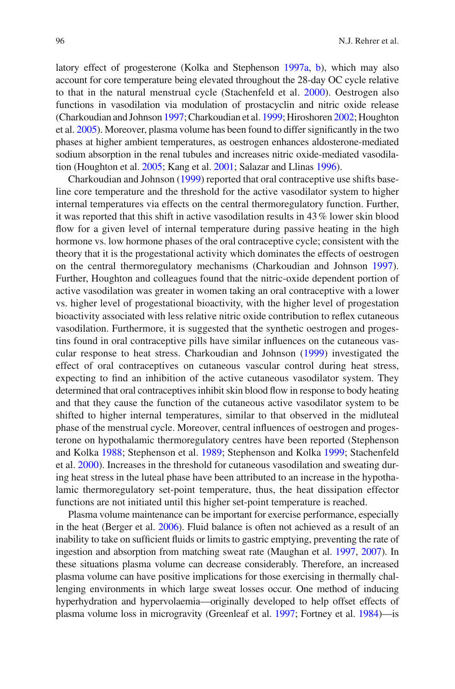latory effect of progesterone (Kolka and Stephenson [1997a](#page-22-0), b), which may also account for core temperature being elevated throughout the 28-day OC cycle relative to that in the natural menstrual cycle (Stachenfeld et al. [2000](#page-24-0)). Oestrogen also functions in vasodilation via modulation of prostacyclin and nitric oxide release (Charkoudian and Johnson [1997 ;](#page-20-0) Charkoudian et al. [1999 ;](#page-20-0) Hiroshoren [2002](#page-21-0) ; Houghton et al. 2005). Moreover, plasma volume has been found to differ significantly in the two phases at higher ambient temperatures, as oestrogen enhances aldosterone-mediated sodium absorption in the renal tubules and increases nitric oxide-mediated vasodila-tion (Houghton et al. 2005; Kang et al. [2001](#page-21-0); Salazar and Llinas [1996](#page-24-0)).

Charkoudian and Johnson (1999) reported that oral contraceptive use shifts baseline core temperature and the threshold for the active vasodilator system to higher internal temperatures via effects on the central thermoregulatory function. Further, it was reported that this shift in active vasodilation results in 43 % lower skin blood flow for a given level of internal temperature during passive heating in the high hormone vs. low hormone phases of the oral contraceptive cycle ; consistent with the theory that it is the progestational activity which dominates the effects of oestrogen on the central thermoregulatory mechanisms (Charkoudian and Johnson 1997). Further, Houghton and colleagues found that the nitric-oxide dependent portion of active vasodilation was greater in women taking an oral contraceptive with a lower vs. higher level of progestational bioactivity, with the higher level of progestation bioactivity associated with less relative nitric oxide contribution to reflex cutaneous vasodilation. Furthermore, it is suggested that the synthetic oestrogen and progestins found in oral contraceptive pills have similar influences on the cutaneous vascular response to heat stress. Charkoudian and Johnson [\( 1999](#page-20-0) ) investigated the effect of oral contraceptives on cutaneous vascular control during heat stress, expecting to find an inhibition of the active cutaneous vasodilator system. They determined that oral contraceptives inhibit skin blood flow in response to body heating and that they cause the function of the cutaneous active vasodilator system to be shifted to higher internal temperatures, similar to that observed in the midluteal phase of the menstrual cycle. Moreover, central influences of oestrogen and progesterone on hypothalamic thermoregulatory centres have been reported (Stephenson and Kolka [1988](#page-24-0); Stephenson et al. [1989](#page-24-0); Stephenson and Kolka 1999; Stachenfeld et al. [2000](#page-24-0)). Increases in the threshold for cutaneous vasodilation and sweating during heat stress in the luteal phase have been attributed to an increase in the hypothalamic thermoregulatory set-point temperature, thus, the heat dissipation effector functions are not initiated until this higher set-point temperature is reached.

 Plasma volume maintenance can be important for exercise performance, especially in the heat (Berger et al.  $2006$ ). Fluid balance is often not achieved as a result of an inability to take on sufficient fluids or limits to gastric emptying, preventing the rate of ingestion and absorption from matching sweat rate (Maughan et al. 1997, 2007). In these situations plasma volume can decrease considerably. Therefore, an increased plasma volume can have positive implications for those exercising in thermally challenging environments in which large sweat losses occur. One method of inducing hyperhydration and hypervolaemia—originally developed to help offset effects of plasma volume loss in microgravity (Greenleaf et al. [1997](#page-20-0) ; Fortney et al. [1984 \)](#page-20-0)—is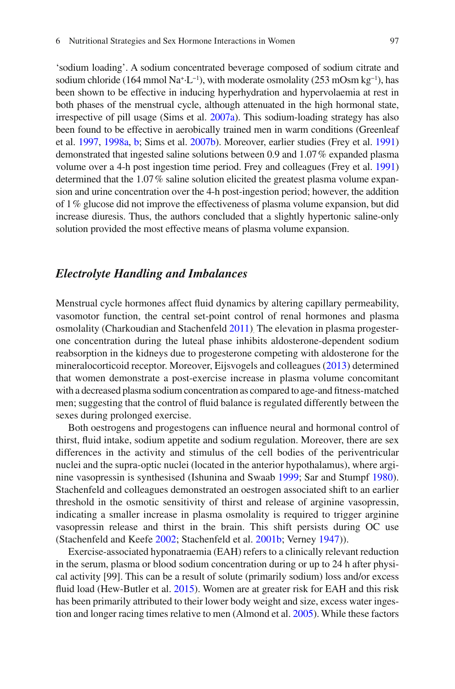'sodium loading'. A sodium concentrated beverage composed of sodium citrate and sodium chloride (164 mmol  $\text{Na}^{\text{*}} \cdot \text{L}^{-1}$ ), with moderate osmolality (253 mOsm kg<sup>-1</sup>), has been shown to be effective in inducing hyperhydration and hypervolaemia at rest in both phases of the menstrual cycle , although attenuated in the high hormonal state, irrespective of pill usage (Sims et al. 2007a). This sodium-loading strategy has also been found to be effective in aerobically trained men in warm conditions (Greenleaf et al.  $1997$ ,  $1998a$ , [b](#page-21-0); Sims et al.  $2007b$ ). Moreover, earlier studies (Frey et al.  $1991$ ) demonstrated that ingested saline solutions between 0.9 and 1.07 % expanded plasma volume over a 4-h post ingestion time period. Frey and colleagues (Frey et al. [1991](#page-20-0) ) determined that the 1.07 % saline solution elicited the greatest plasma volume expansion and urine concentration over the 4-h post-ingestion period; however, the addition of 1 % glucose did not improve the effectiveness of plasma volume expansion, but did increase diuresis. Thus, the authors concluded that a slightly hypertonic saline-only solution provided the most effective means of plasma volume expansion.

## *Electrolyte Handling and Imbalances*

Menstrual cycle hormones affect fluid dynamics by altering capillary permeability, vasomotor function, the central set-point control of renal hormones and plasma osmolality (Charkoudian and Stachenfeld [2011](#page-20-0)). The elevation in plasma progesterone concentration during the luteal phase inhibits aldosterone-dependent sodium reabsorption in the kidneys due to progesterone competing with aldosterone for the mineralocorticoid receptor. Moreover, Eijsvogels and colleagues [\( 2013](#page-20-0) ) determined that women demonstrate a post-exercise increase in plasma volume concomitant with a decreased plasma sodium concentration as compared to age-and fitness-matched men; suggesting that the control of fluid balance is regulated differently between the sexes during prolonged exercise.

Both oestrogens and progestogens can influence neural and hormonal control of thirst, fluid intake, sodium appetite and sodium regulation. Moreover, there are sex differences in the activity and stimulus of the cell bodies of the periventricular nuclei and the supra-optic nuclei (located in the anterior hypothalamus), where arginine vasopressin is synthesised (Ishunina and Swaab 1999; Sar and Stumpf 1980). Stachenfeld and colleagues demonstrated an oestrogen associated shift to an earlier threshold in the osmotic sensitivity of thirst and release of arginine vasopressin, indicating a smaller increase in plasma osmolality is required to trigger arginine vasopressin release and thirst in the brain. This shift persists during OC use (Stachenfeld and Keefe [2002](#page-24-0); Stachenfeld et al. [2001b](#page-24-0); Verney [1947](#page-25-0))).

Exercise-associated hyponatraemia (EAH) refers to a clinically relevant reduction in the serum, plasma or blood sodium concentration during or up to 24 h after physical activity [99]. This can be a result of solute (primarily sodium) loss and/or excess fluid load (Hew-Butler et al. 2015). Women are at greater risk for EAH and this risk has been primarily attributed to their lower body weight and size, excess water ingestion and longer racing times relative to men (Almond et al. [2005 \)](#page-19-0). While these factors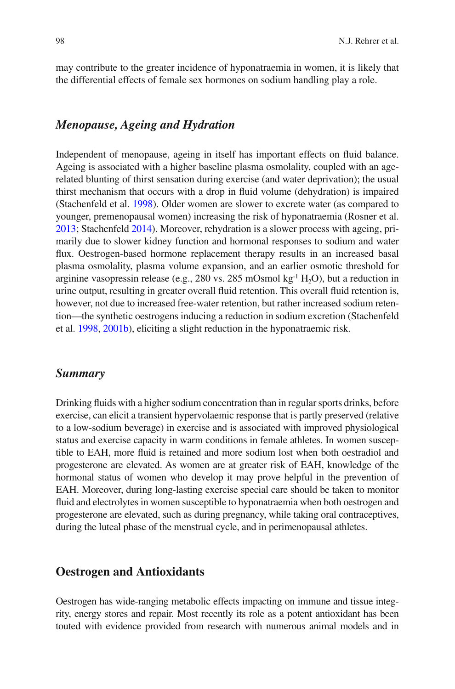may contribute to the greater incidence of hyponatraemia in women, it is likely that the differential effects of female sex hormones on sodium handling play a role.

## *Menopause, Ageing and Hydration*

Independent of menopause, ageing in itself has important effects on fluid balance. Ageing is associated with a higher baseline plasma osmolality, coupled with an agerelated blunting of thirst sensation during exercise (and water deprivation); the usual thirst mechanism that occurs with a drop in fluid volume (dehydration) is impaired (Stachenfeld et al. 1998). Older women are slower to excrete water (as compared to younger, premenopausal women) increasing the risk of hyponatraemia (Rosner et al. [2013](#page-23-0); Stachenfeld 2014). Moreover, rehydration is a slower process with ageing, primarily due to slower kidney function and hormonal responses to sodium and water flux. Oestrogen-based hormone replacement therapy results in an increased basal plasma osmolality, plasma volume expansion, and an earlier osmotic threshold for arginine vasopressin release (e.g., 280 vs. 285 mOsmol kg<sup>-1</sup> H<sub>2</sub>O), but a reduction in urine output, resulting in greater overall fluid retention. This overall fluid retention is, however, not due to increased free-water retention, but rather increased sodium retention—the synthetic oestrogens inducing a reduction in sodium excretion (Stachenfeld et al. 1998, [2001b](#page-24-0)), eliciting a slight reduction in the hyponatraemic risk.

## *Summary*

Drinking fluids with a higher sodium concentration than in regular sports drinks, before exercise, can elicit a transient hypervolaemic response that is partly preserved (relative to a low-sodium beverage) in exercise and is associated with improved physiological status and exercise capacity in warm conditions in female athletes. In women susceptible to EAH, more fluid is retained and more sodium lost when both oestradiol and progesterone are elevated. As women are at greater risk of EAH , knowledge of the hormonal status of women who develop it may prove helpful in the prevention of EAH. Moreover, during long-lasting exercise special care should be taken to monitor fluid and electrolytes in women susceptible to hyponatraemia when both oestrogen and progesterone are elevated, such as during pregnancy, while taking oral contraceptives, during the luteal phase of the menstrual cycle, and in perimenopausal athletes.

#### **Oestrogen and Antioxidants**

 Oestrogen has wide-ranging metabolic effects impacting on immune and tissue integrity, energy stores and repair. Most recently its role as a potent antioxidant has been touted with evidence provided from research with numerous animal models and in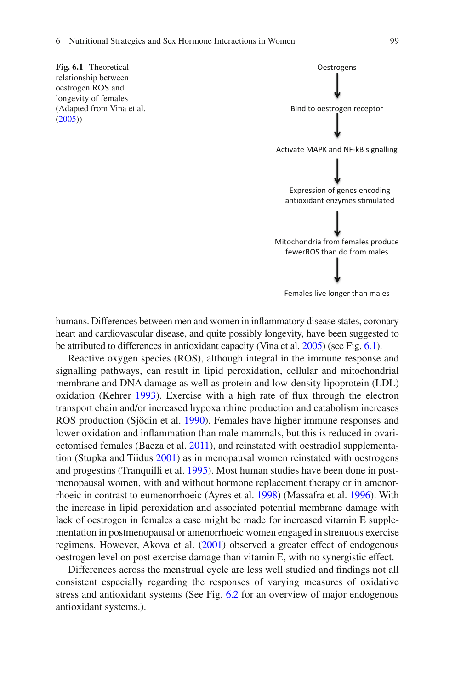



humans. Differences between men and women in inflammatory disease states, coronary heart and cardiovascular disease, and quite possibly longevity, have been suggested to be attributed to differences in antioxidant capacity (Vina et al.  $2005$ ) (see Fig. 6.1).

Reactive oxygen species (ROS), although integral in the immune response and signalling pathways, can result in lipid peroxidation, cellular and mitochondrial membrane and DNA damage as well as protein and low-density lipoprotein (LDL) oxidation (Kehrer 1993). Exercise with a high rate of flux through the electron transport chain and/or increased hypoxanthine production and catabolism increases ROS production (Sjödin et al. 1990). Females have higher immune responses and lower oxidation and inflammation than male mammals, but this is reduced in ovariectomised females (Baeza et al. [2011 \)](#page-19-0), and reinstated with oestradiol supplementation (Stupka and Tiidus 2001) as in menopausal women reinstated with oestrogens and progestins (Tranquilli et al. [1995 \)](#page-25-0). Most human studies have been done in postmenopausal women, with and without hormone replacement therapy or in amenorrhoeic in contrast to eumenorrhoeic (Ayres et al. [1998](#page-19-0) ) (Massafra et al. [1996 \)](#page-22-0). With the increase in lipid peroxidation and associated potential membrane damage with lack of oestrogen in females a case might be made for increased vitamin E supplementation in postmenopausal or amenorrhoeic women engaged in strenuous exercise regimens. However, Akova et al. (2001) observed a greater effect of endogenous oestrogen level on post exercise damage than vitamin E, with no synergistic effect.

Differences across the menstrual cycle are less well studied and findings not all consistent especially regarding the responses of varying measures of oxidative stress and antioxidant systems (See Fig. [6.2](#page-13-0) for an overview of major endogenous antioxidant systems.).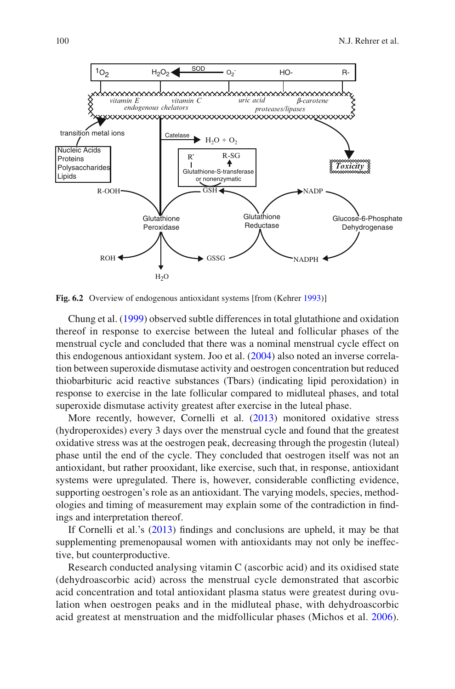<span id="page-13-0"></span>

**Fig. 6.2** Overview of endogenous antioxidant systems [from (Kehrer [1993](#page-22-0))]

 Chung et al. ( [1999 \)](#page-20-0) observed subtle differences in total glutathione and oxidation thereof in response to exercise between the luteal and follicular phases of the menstrual cycle and concluded that there was a nominal menstrual cycle effect on this endogenous antioxidant system. Joo et al. [\( 2004](#page-21-0) ) also noted an inverse correlation between superoxide dismutase activity and oestrogen concentration but reduced thiobarbituric acid reactive substances (Tbars) (indicating lipid peroxidation) in response to exercise in the late follicular compared to midluteal phases, and total superoxide dismutase activity greatest after exercise in the luteal phase.

More recently, however, Cornelli et al. (2013) monitored oxidative stress (hydroperoxides) every 3 days over the menstrual cycle and found that the greatest oxidative stress was at the oestrogen peak, decreasing through the progestin (luteal) phase until the end of the cycle. They concluded that oestrogen itself was not an antioxidant, but rather prooxidant, like exercise, such that, in response, antioxidant systems were upregulated. There is, however, considerable conflicting evidence, supporting oestrogen's role as an antioxidant. The varying models, species, methodologies and timing of measurement may explain some of the contradiction in findings and interpretation thereof.

If Cornelli et al.'s  $(2013)$  findings and conclusions are upheld, it may be that supplementing premenopausal women with antioxidants may not only be ineffective, but counterproductive.

 Research conducted analysing vitamin C (ascorbic acid) and its oxidised state (dehydroascorbic acid) across the menstrual cycle demonstrated that ascorbic acid concentration and total antioxidant plasma status were greatest during ovulation when oestrogen peaks and in the midluteal phase, with dehydroascorbic acid greatest at menstruation and the midfollicular phases (Michos et al. 2006).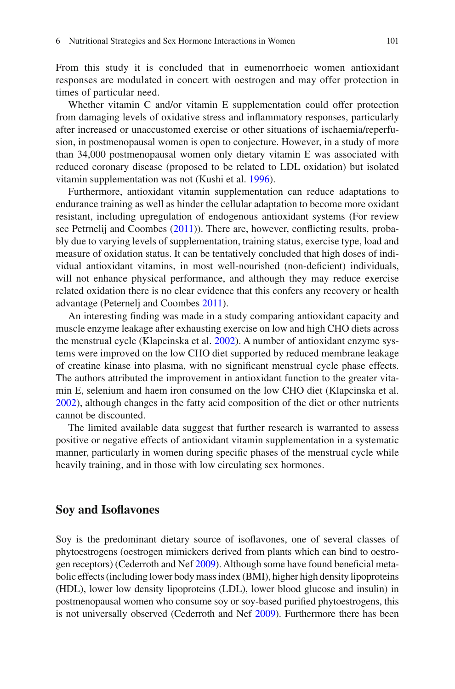From this study it is concluded that in eumenorrhoeic women antioxidant responses are modulated in concert with oestrogen and may offer protection in times of particular need.

 Whether vitamin C and/or vitamin E supplementation could offer protection from damaging levels of oxidative stress and inflammatory responses, particularly after increased or unaccustomed exercise or other situations of ischaemia/reperfusion, in postmenopausal women is open to conjecture. However, in a study of more than 34,000 postmenopausal women only dietary vitamin E was associated with reduced coronary disease (proposed to be related to LDL oxidation) but isolated vitamin supplementation was not (Kushi et al. 1996).

 Furthermore, antioxidant vitamin supplementation can reduce adaptations to endurance training as well as hinder the cellular adaptation to become more oxidant resistant, including upregulation of endogenous antioxidant systems (For review see Petrnelij and Coombes (2011)). There are, however, conflicting results, probably due to varying levels of supplementation, training status, exercise type, load and measure of oxidation status. It can be tentatively concluded that high doses of individual antioxidant vitamins, in most well-nourished (non-deficient) individuals, will not enhance physical performance, and although they may reduce exercise related oxidation there is no clear evidence that this confers any recovery or health advantage (Peternelj and Coombes [2011](#page-23-0)).

An interesting finding was made in a study comparing antioxidant capacity and muscle enzyme leakage after exhausting exercise on low and high CHO diets across the menstrual cycle (Klapcinska et al. [2002](#page-22-0) ). A number of antioxidant enzyme systems were improved on the low CHO diet supported by reduced membrane leakage of creatine kinase into plasma, with no significant menstrual cycle phase effects. The authors attributed the improvement in antioxidant function to the greater vitamin E, selenium and haem iron consumed on the low CHO diet (Klapcinska et al. [2002 \)](#page-22-0), although changes in the fatty acid composition of the diet or other nutrients cannot be discounted.

 The limited available data suggest that further research is warranted to assess positive or negative effects of antioxidant vitamin supplementation in a systematic manner, particularly in women during specific phases of the menstrual cycle while heavily training, and in those with low circulating sex hormones.

#### **Soy and Isoflavones**

Soy is the predominant dietary source of isoflavones, one of several classes of phytoestrogens (oestrogen mimickers derived from plants which can bind to oestro-gen receptors) (Cederroth and Nef [2009](#page-19-0)). Although some have found beneficial metabolic effects (including lower body mass index (BMI), higher high density lipoproteins (HDL), lower low density lipoproteins (LDL), lower blood glucose and insulin) in postmenopausal women who consume soy or soy-based purified phytoestrogens, this is not universally observed (Cederroth and Nef [2009](#page-19-0)). Furthermore there has been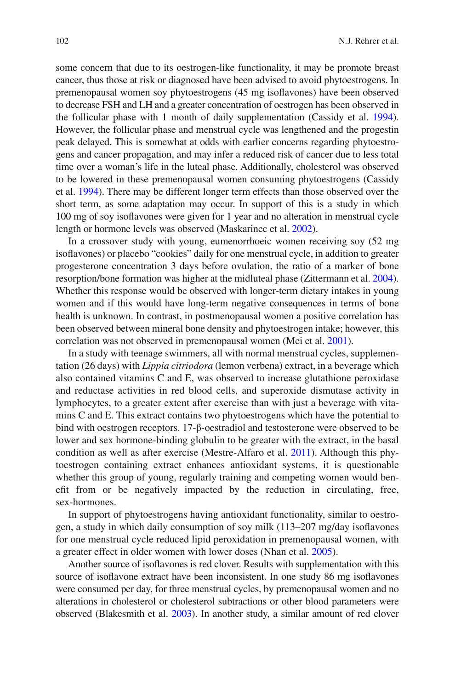some concern that due to its oestrogen-like functionality, it may be promote breast cancer, thus those at risk or diagnosed have been advised to avoid phytoestrogens. In premenopausal women soy phytoestrogens (45 mg isofl avones ) have been observed to decrease FSH and LH and a greater concentration of oestrogen has been observed in the follicular phase with 1 month of daily supplementation (Cassidy et al. 1994). However, the follicular phase and menstrual cycle was lengthened and the progestin peak delayed. This is somewhat at odds with earlier concerns regarding phytoestrogens and cancer propagation, and may infer a reduced risk of cancer due to less total time over a woman's life in the luteal phase. Additionally, cholesterol was observed to be lowered in these premenopausal women consuming phytoestrogens (Cassidy et al. [1994](#page-19-0)). There may be different longer term effects than those observed over the short term, as some adaptation may occur. In support of this is a study in which 100 mg of soy isoflavones were given for 1 year and no alteration in menstrual cycle length or hormone levels was observed (Maskarinec et al. 2002).

 In a crossover study with young, eumenorrhoeic women receiving soy (52 mg isoflavones) or placebo "cookies" daily for one menstrual cycle, in addition to greater progesterone concentration 3 days before ovulation, the ratio of a marker of bone resorption/bone formation was higher at the midluteal phase (Zittermann et al. 2004). Whether this response would be observed with longer-term dietary intakes in young women and if this would have long-term negative consequences in terms of bone health is unknown. In contrast, in postmenopausal women a positive correlation has been observed between mineral bone density and phytoestrogen intake; however, this correlation was not observed in premenopausal women (Mei et al. 2001).

 In a study with teenage swimmers, all with normal menstrual cycles, supplementation (26 days) with *Lippia citriodora* (lemon verbena) extract, in a beverage which also contained vitamins C and E, was observed to increase glutathione peroxidase and reductase activities in red blood cells, and superoxide dismutase activity in lymphocytes, to a greater extent after exercise than with just a beverage with vitamins C and E. This extract contains two phytoestrogens which have the potential to bind with oestrogen receptors. 17-β-oestradiol and testosterone were observed to be lower and sex hormone -binding globulin to be greater with the extract, in the basal condition as well as after exercise (Mestre-Alfaro et al. [2011 \)](#page-22-0). Although this phytoestrogen containing extract enhances antioxidant systems, it is questionable whether this group of young, regularly training and competing women would benefit from or be negatively impacted by the reduction in circulating, free, sex-hormones.

 In support of phytoestrogens having antioxidant functionality, similar to oestrogen, a study in which daily consumption of soy milk (113–207 mg/day isoflavones for one menstrual cycle reduced lipid peroxidation in premenopausal women, with a greater effect in older women with lower doses (Nhan et al. [2005](#page-23-0)).

Another source of isoflavones is red clover. Results with supplementation with this source of isoflavone extract have been inconsistent. In one study 86 mg isoflavones were consumed per day, for three menstrual cycles, by premenopausal women and no alterations in cholesterol or cholesterol subtractions or other blood parameters were observed (Blakesmith et al. [2003](#page-19-0) ). In another study, a similar amount of red clover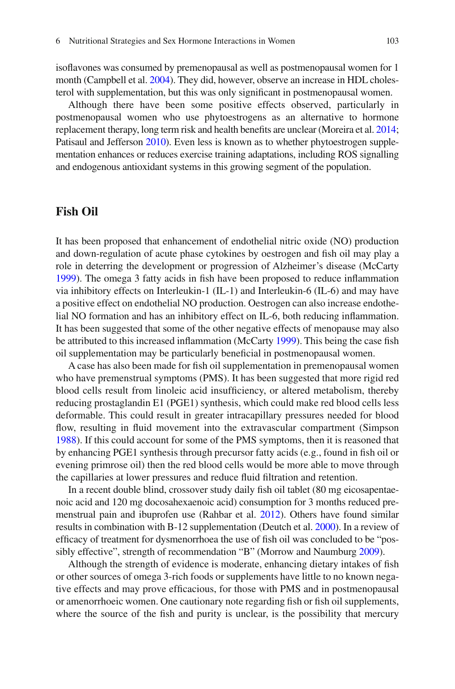isoflavones was consumed by premenopausal as well as postmenopausal women for 1 month (Campbell et al. [2004](#page-19-0)). They did, however, observe an increase in HDL cholesterol with supplementation, but this was only significant in postmenopausal women.

 Although there have been some positive effects observed, particularly in postmenopausal women who use phytoestrogens as an alternative to hormone replacement therapy, long term risk and health benefits are unclear (Moreira et al. 2014; Patisaul and Jefferson [2010](#page-23-0)). Even less is known as to whether phytoestrogen supplementation enhances or reduces exercise training adaptations, including ROS signalling and endogenous antioxidant systems in this growing segment of the population.

## **Fish Oil**

 It has been proposed that enhancement of endothelial nitric oxide (NO) production and down-regulation of acute phase cytokines by oestrogen and fish oil may play a role in deterring the development or progression of Alzheimer's disease (McCarty 1999). The omega 3 fatty acids in fish have been proposed to reduce inflammation via inhibitory effects on Interleukin-1 (IL-1) and Interleukin-6 (IL-6) and may have a positive effect on endothelial NO production. Oestrogen can also increase endothelial NO formation and has an inhibitory effect on IL-6, both reducing inflammation. It has been suggested that some of the other negative effects of menopause may also be attributed to this increased inflammation (McCarty [1999](#page-22-0)). This being the case fish oil supplementation may be particularly beneficial in postmenopausal women.

A case has also been made for fish oil supplementation in premenopausal women who have premenstrual symptoms (PMS). It has been suggested that more rigid red blood cells result from linoleic acid insufficiency, or altered metabolism, thereby reducing prostaglandin E1 (PGE1) synthesis, which could make red blood cells less deformable. This could result in greater intracapillary pressures needed for blood flow, resulting in fluid movement into the extravascular compartment (Simpson [1988 \)](#page-24-0). If this could account for some of the PMS symptoms, then it is reasoned that by enhancing PGE1 synthesis through precursor fatty acids (e.g., found in fish oil or evening primrose oil) then the red blood cells would be more able to move through the capillaries at lower pressures and reduce fluid filtration and retention.

In a recent double blind, crossover study daily fish oil tablet (80 mg eicosapentaenoic acid and 120 mg docosahexaenoic acid) consumption for 3 months reduced premenstrual pain and ibuprofen use (Rahbar et al. 2012). Others have found similar results in combination with B-12 supplementation (Deutch et al. [2000](#page-20-0)). In a review of efficacy of treatment for dysmenorrhoea the use of fish oil was concluded to be "possibly effective", strength of recommendation "B" (Morrow and Naumburg 2009).

Although the strength of evidence is moderate, enhancing dietary intakes of fish or other sources of omega 3-rich foods or supplements have little to no known negative effects and may prove efficacious, for those with PMS and in postmenopausal or amenorrhoeic women. One cautionary note regarding fish or fish oil supplements, where the source of the fish and purity is unclear, is the possibility that mercury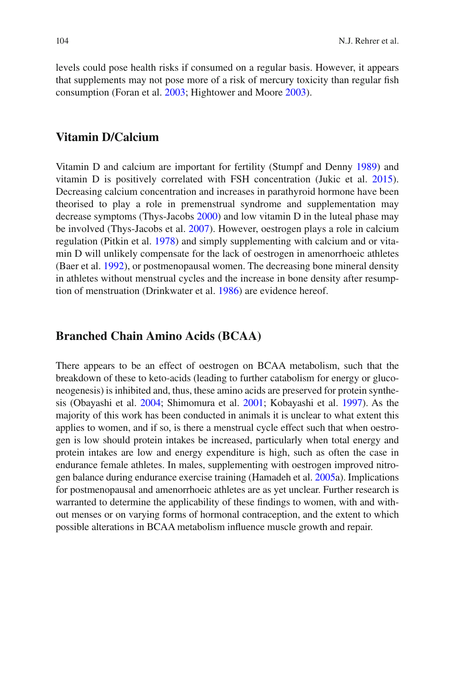levels could pose health risks if consumed on a regular basis. However, it appears that supplements may not pose more of a risk of mercury toxicity than regular fish consumption (Foran et al. [2003](#page-20-0); Hightower and Moore 2003).

## **Vitamin D/Calcium**

Vitamin D and calcium are important for fertility (Stumpf and Denny [1989](#page-25-0)) and vitamin  $D$  is positively correlated with FSH concentration (Jukic et al. 2015). Decreasing calcium concentration and increases in parathyroid hormone have been theorised to play a role in premenstrual syndrome and supplementation may decrease symptoms (Thys-Jacobs [2000](#page-25-0)) and low vitamin D in the luteal phase may be involved (Thys-Jacobs et al. [2007](#page-25-0)). However, oestrogen plays a role in calcium regulation (Pitkin et al. [1978](#page-23-0)) and simply supplementing with calcium and or vitamin D will unlikely compensate for the lack of oestrogen in amenorrhoeic athletes (Baer et al. 1992), or postmenopausal women. The decreasing bone mineral density in athletes without menstrual cycles and the increase in bone density after resumption of menstruation (Drinkwater et al. [1986 \)](#page-20-0) are evidence hereof.

## **Branched Chain Amino Acids (BCAA)**

 There appears to be an effect of oestrogen on BCAA metabolism, such that the breakdown of these to keto-acids (leading to further catabolism for energy or gluconeogenesis) is inhibited and, thus, these amino acids are preserved for protein synthe-sis (Obayashi et al. [2004](#page-23-0); Shimomura et al. 2001; Kobayashi et al. [1997](#page-22-0)). As the majority of this work has been conducted in animals it is unclear to what extent this applies to women, and if so, is there a menstrual cycle effect such that when oestrogen is low should protein intakes be increased, particularly when total energy and protein intakes are low and energy expenditure is high, such as often the case in endurance female athletes. In males, supplementing with oestrogen improved nitrogen balance during endurance exercise training (Hamadeh et al. [2005](#page-21-0) a). Implications for postmenopausal and amenorrhoeic athletes are as yet unclear. Further research is warranted to determine the applicability of these findings to women, with and without menses or on varying forms of hormonal contraception, and the extent to which possible alterations in BCAA metabolism influence muscle growth and repair.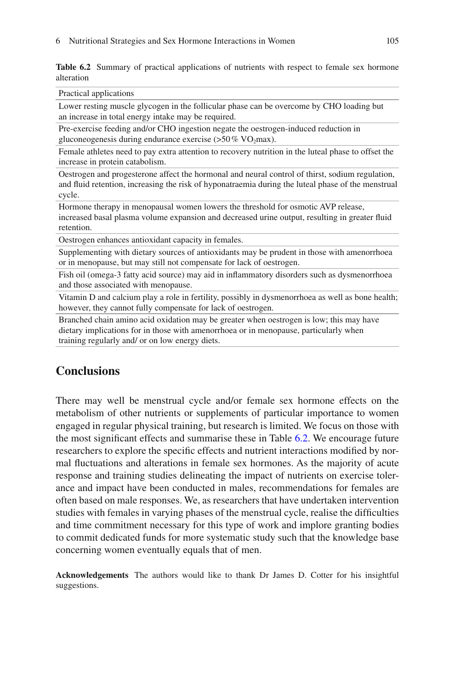**Table 6.2** Summary of practical applications of nutrients with respect to female sex hormone alteration

Practical applications

 Lower resting muscle glycogen in the follicular phase can be overcome by CHO loading but an increase in total energy intake may be required.

 Pre-exercise feeding and/or CHO ingestion negate the oestrogen-induced reduction in gluconeogenesis during endurance exercise ( $>50\%$  VO<sub>2</sub>max).

 Female athletes need to pay extra attention to recovery nutrition in the luteal phase to offset the increase in protein catabolism.

 Oestrogen and progesterone affect the hormonal and neural control of thirst, sodium regulation, and fluid retention, increasing the risk of hyponatraemia during the luteal phase of the menstrual cycle.

 Hormone therapy in menopausal women lowers the threshold for osmotic AVP release, increased basal plasma volume expansion and decreased urine output, resulting in greater fluid retention.

Oestrogen enhances antioxidant capacity in females.

 Supplementing with dietary sources of antioxidants may be prudent in those with amenorrhoea or in menopause, but may still not compensate for lack of oestrogen.

Fish oil (omega-3 fatty acid source) may aid in inflammatory disorders such as dysmenorrhoea and those associated with menopause.

 Vitamin D and calcium play a role in fertility, possibly in dysmenorrhoea as well as bone health; however, they cannot fully compensate for lack of oestrogen.

 Branched chain amino acid oxidation may be greater when oestrogen is low; this may have dietary implications for in those with amenorrhoea or in menopause, particularly when training regularly and/ or on low energy diets.

## **Conclusions**

 There may well be menstrual cycle and/or female sex hormone effects on the metabolism of other nutrients or supplements of particular importance to women engaged in regular physical training, but research is limited. We focus on those with the most significant effects and summarise these in Table 6.2. We encourage future researchers to explore the specific effects and nutrient interactions modified by normal fluctuations and alterations in female sex hormones. As the majority of acute response and training studies delineating the impact of nutrients on exercise tolerance and impact have been conducted in males, recommendations for females are often based on male responses. We, as researchers that have undertaken intervention studies with females in varying phases of the menstrual cycle, realise the difficulties and time commitment necessary for this type of work and implore granting bodies to commit dedicated funds for more systematic study such that the knowledge base concerning women eventually equals that of men.

 **Acknowledgements** The authors would like to thank Dr James D. Cotter for his insightful suggestions.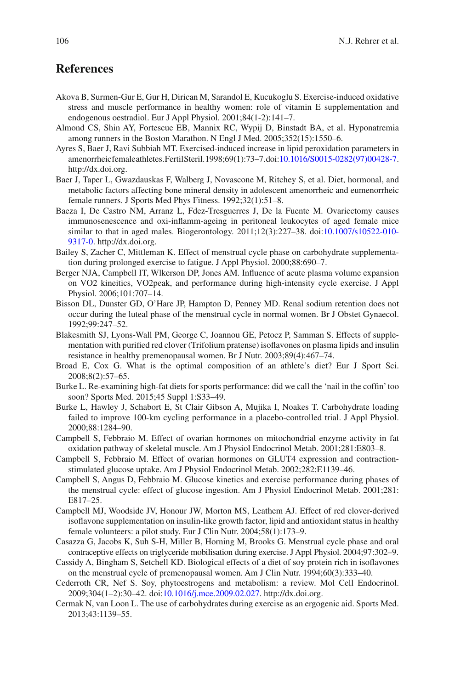## <span id="page-19-0"></span> **References**

- Akova B, Surmen-Gur E, Gur H, Dirican M, Sarandol E, Kucukoglu S. Exercise-induced oxidative stress and muscle performance in healthy women: role of vitamin E supplementation and endogenous oestradiol. Eur J Appl Physiol. 2001;84(1-2):141–7.
- Almond CS, Shin AY, Fortescue EB, Mannix RC, Wypij D, Binstadt BA, et al. Hyponatremia among runners in the Boston Marathon. N Engl J Med. 2005;352(15):1550–6.
- Ayres S, Baer J, Ravi Subbiah MT. Exercised-induced increase in lipid peroxidation parameters in amenorrheic female athletes. Fertil Steril. 1998;69(1):73-7.doi:10.1016/S0015-0282(97)00428-7. http://dx.doi.org.
- Baer J, Taper L, Gwazdauskas F, Walberg J, Novascone M, Ritchey S, et al. Diet, hormonal, and metabolic factors affecting bone mineral density in adolescent amenorrheic and eumenorrheic female runners. J Sports Med Phys Fitness. 1992;32(1):51–8.
- Baeza I, De Castro NM, Arranz L, Fdez-Tresguerres J, De la Fuente M. Ovariectomy causes immunosenescence and oxi-inflamm-ageing in peritoneal leukocytes of aged female mice similar to that in aged males. Biogerontology. 2011;12(3):227–38. doi:[10.1007/s10522-010-](http://dx.doi.org/10.1007/s10522-010-9317-0)  9317-0. http://dx.doi.org.
- Bailey S, Zacher C, Mittleman K. Effect of menstrual cycle phase on carbohydrate supplementation during prolonged exercise to fatigue. J Appl Physiol. 2000;88:690–7.
- Berger NJA, Campbell IT, Wikerson DP, Jones AM. Influence of acute plasma volume expansion on VO2 kineitics, VO2peak, and performance during high-intensity cycle exercise. J Appl Physiol. 2006;101:707–14.
- Bisson DL, Dunster GD, O'Hare JP, Hampton D, Penney MD. Renal sodium retention does not occur during the luteal phase of the menstrual cycle in normal women. Br J Obstet Gynaecol. 1992;99:247–52.
- Blakesmith SJ, Lyons-Wall PM, George C, Joannou GE, Petocz P, Samman S. Effects of supplementation with purified red clover (Trifolium pratense) isoflavones on plasma lipids and insulin resistance in healthy premenopausal women. Br J Nutr. 2003;89(4):467–74.
- Broad E, Cox G. What is the optimal composition of an athlete's diet? Eur J Sport Sci. 2008;8(2):57–65.
- Burke L. Re-examining high-fat diets for sports performance: did we call the 'nail in the coffin' too soon? Sports Med. 2015;45 Suppl 1:S33–49.
- Burke L, Hawley J, Schabort E, St Clair Gibson A, Mujika I, Noakes T. Carbohydrate loading failed to improve 100-km cycling performance in a placebo-controlled trial. J Appl Physiol. 2000;88:1284–90.
- Campbell S, Febbraio M. Effect of ovarian hormones on mitochondrial enzyme activity in fat oxidation pathway of skeletal muscle. Am J Physiol Endocrinol Metab. 2001;281:E803–8.
- Campbell S, Febbraio M. Effect of ovarian hormones on GLUT4 expression and contractionstimulated glucose uptake. Am J Physiol Endocrinol Metab. 2002;282:E1139–46.
- Campbell S, Angus D, Febbraio M. Glucose kinetics and exercise performance during phases of the menstrual cycle: effect of glucose ingestion. Am J Physiol Endocrinol Metab. 2001;281: E817–25.
- Campbell MJ, Woodside JV, Honour JW, Morton MS, Leathem AJ. Effect of red clover-derived isoflavone supplementation on insulin-like growth factor, lipid and antioxidant status in healthy female volunteers: a pilot study. Eur J Clin Nutr. 2004;58(1):173–9.
- Casazza G, Jacobs K, Suh S-H, Miller B, Horning M, Brooks G. Menstrual cycle phase and oral contraceptive effects on triglyceride mobilisation during exercise. J Appl Physiol. 2004;97:302–9.
- Cassidy A, Bingham S, Setchell KD. Biological effects of a diet of soy protein rich in isoflavones on the menstrual cycle of premenopausal women. Am J Clin Nutr. 1994;60(3):333–40.
- Cederroth CR, Nef S. Soy, phytoestrogens and metabolism: a review. Mol Cell Endocrinol. 2009;304(1–2):30–42. doi[:10.1016/j.mce.2009.02.027.](http://dx.doi.org/10.1016/j.mce.2009.02.027) http://dx.doi.org.
- Cermak N, van Loon L. The use of carbohydrates during exercise as an ergogenic aid. Sports Med. 2013;43:1139–55.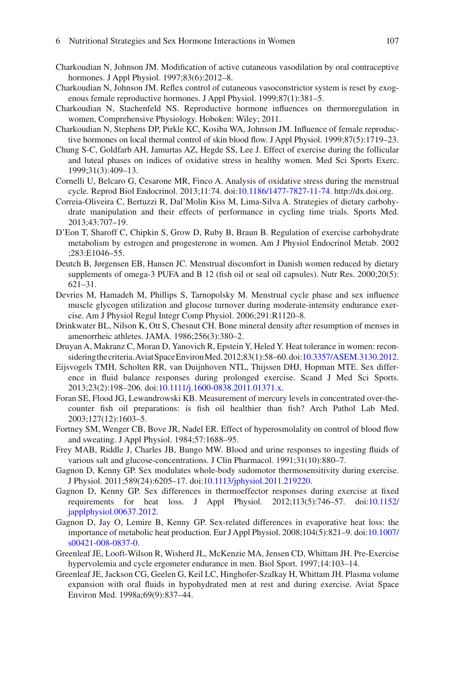- <span id="page-20-0"></span>Charkoudian N, Johnson JM. Modification of active cutaneous vasodilation by oral contraceptive hormones. J Appl Physiol. 1997;83(6):2012–8.
- Charkoudian N, Johnson JM. Reflex control of cutaneous vasoconstrictor system is reset by exogenous female reproductive hormones. J Appl Physiol. 1999;87(1):381–5.
- Charkoudian N, Stachenfeld NS. Reproductive hormone influences on thermoregulation in women, Comprehensive Physiology. Hoboken: Wiley; 2011.
- Charkoudian N, Stephens DP, Pirkle KC, Kosiba WA, Johnson JM. Influence of female reproductive hormones on local thermal control of skin blood flow. J Appl Physiol. 1999;87(5):1719–23.
- Chung S-C, Goldfarb AH, Jamurtas AZ, Hegde SS, Lee J. Effect of exercise during the follicular and luteal phases on indices of oxidative stress in healthy women. Med Sci Sports Exerc. 1999;31(3):409–13.
- Cornelli U, Belcaro G, Cesarone MR, Finco A. Analysis of oxidative stress during the menstrual cycle. Reprod Biol Endocrinol. 2013;11:74. doi:[10.1186/1477-7827-11-74.](http://dx.doi.org/10.1186/1477-7827-11-74) http://dx.doi.org.
- Correia-Oliveira C, Bertuzzi R, Dal'Molin Kiss M, Lima-Silva A. Strategies of dietary carbohydrate manipulation and their effects of performance in cycling time trials. Sports Med. 2013;43:707–19.
- D'Eon T, Sharoff C, Chipkin S, Grow D, Ruby B, Braun B. Regulation of exercise carbohydrate metabolism by estrogen and progesterone in women. Am J Physiol Endocrinol Metab. 2002 ;283:E1046–55.
- Deutch B, Jørgensen EB, Hansen JC. Menstrual discomfort in Danish women reduced by dietary supplements of omega-3 PUFA and B 12 (fish oil or seal oil capsules). Nutr Res. 2000;20(5): 621–31.
- Devries M, Hamadeh M, Phillips S, Tarnopolsky M. Menstrual cycle phase and sex influence muscle glycogen utilization and glucose turnover during moderate-intensity endurance exercise. Am J Physiol Regul Integr Comp Physiol. 2006;291:R1120–8.
- Drinkwater BL, Nilson K, Ott S, Chesnut CH. Bone mineral density after resumption of menses in amenorrheic athletes. JAMA. 1986;256(3):380–2.
- Druyan A, Makranz C, Moran D, Yanovich R, Epstein Y, Heled Y. Heat tolerance in women: reconsidering the criteria. Aviat Space Environ Med. 2012;83(1):58–60. doi[:10.3357/ASEM.3130.2012](http://dx.doi.org/10.3357/ASEM.3130.2012).
- Eijsvogels TMH, Scholten RR, van Duijnhoven NTL, Thijssen DHJ, Hopman MTE. Sex difference in fluid balance responses during prolonged exercise. Scand J Med Sci Sports. 2013;23(2):198–206. doi[:10.1111/j.1600-0838.2011.01371.x](http://dx.doi.org/10.1111/j.1600-0838.2011.01371.x).
- Foran SE, Flood JG, Lewandrowski KB. Measurement of mercury levels in concentrated over-thecounter fish oil preparations: is fish oil healthier than fish? Arch Pathol Lab Med. 2003;127(12):1603–5.
- Fortney SM, Wenger CB, Bove JR, Nadel ER. Effect of hyperosmolality on control of blood flow and sweating. J Appl Physiol. 1984;57:1688–95.
- Frey MAB, Riddle J, Charles JB, Bungo MW. Blood and urine responses to ingesting fluids of various salt and glucose-concentrations. J Clin Pharmacol. 1991;31(10):880–7.
- Gagnon D, Kenny GP. Sex modulates whole-body sudomotor thermosensitivity during exercise. J Physiol. 2011;589(24):6205–17. doi:[10.1113/jphysiol.2011.219220.](http://dx.doi.org/10.1113/jphysiol.2011.219220)
- Gagnon D, Kenny GP. Sex differences in thermoeffector responses during exercise at fixed requirements for heat loss. J Appl Physiol. 2012;113(5):746–57. doi[:10.1152/](http://dx.doi.org/10.1152/japplphysiol.00637.2012) [japplphysiol.00637.2012.](http://dx.doi.org/10.1152/japplphysiol.00637.2012)
- Gagnon D, Jay O, Lemire B, Kenny GP. Sex-related differences in evaporative heat loss: the importance of metabolic heat production. Eur J Appl Physiol. 2008;104(5):821–9. doi:[10.1007/](http://dx.doi.org/10.1007/s00421-008-0837-0) [s00421-008-0837-0.](http://dx.doi.org/10.1007/s00421-008-0837-0)
- Greenleaf JE, Looft-Wilson R, Wisherd JL, McKenzie MA, Jensen CD, Whittam JH. Pre-Exercise hypervolemia and cycle ergometer endurance in men. Biol Sport. 1997;14:103–14.
- Greenleaf JE, Jackson CG, Geelen G, Keil LC, Hinghofer-Szalkay H, Whittam JH. Plasma volume expansion with oral fluids in hypohydrated men at rest and during exercise. Aviat Space Environ Med. 1998a;69(9):837–44.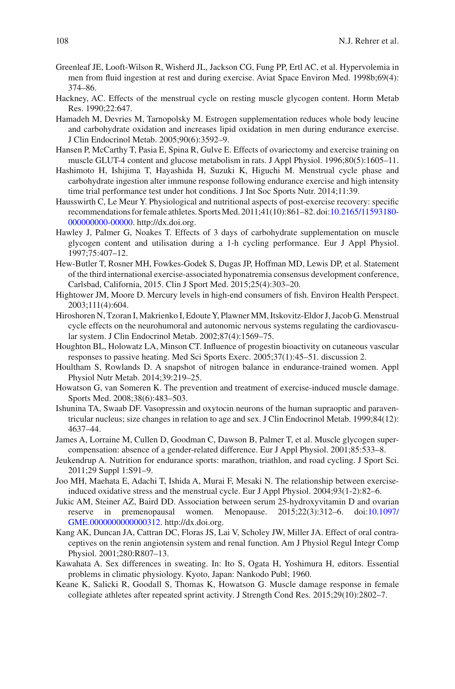- <span id="page-21-0"></span> Greenleaf JE, Looft-Wilson R, Wisherd JL, Jackson CG, Fung PP, Ertl AC, et al. Hypervolemia in men from fluid ingestion at rest and during exercise. Aviat Space Environ Med. 1998b;69(4): 374–86.
- Hackney, AC. Effects of the menstrual cycle on resting muscle glycogen content. Horm Metab Res. 1990;22:647.
- Hamadeh M, Devries M, Tarnopolsky M. Estrogen supplementation reduces whole body leucine and carbohydrate oxidation and increases lipid oxidation in men during endurance exercise. J Clin Endocrinol Metab. 2005;90(6):3592–9.
- Hansen P, McCarthy T, Pasia E, Spina R, Gulve E. Effects of ovariectomy and exercise training on muscle GLUT-4 content and glucose metabolism in rats. J Appl Physiol. 1996;80(5):1605–11.
- Hashimoto H, Ishijima T, Hayashida H, Suzuki K, Higuchi M. Menstrual cycle phase and carbohydrate ingestion alter immune response following endurance exercise and high intensity time trial performance test under hot conditions. J Int Soc Sports Nutr. 2014;11:39.
- Hausswirth C, Le Meur Y. Physiological and nutritional aspects of post-exercise recovery: specific recommendations for female athletes. Sports Med. 2011;41(10):861–82. doi[:10.2165/11593180-](http://dx.doi.org/10.2165/11593180-000000000-00000)  [000000000- 00000](http://dx.doi.org/10.2165/11593180-000000000-00000). http://dx.doi.org.
- Hawley J, Palmer G, Noakes T. Effects of 3 days of carbohydrate supplementation on muscle glycogen content and utilisation during a 1-h cycling performance. Eur J Appl Physiol. 1997;75:407–12.
- Hew-Butler T, Rosner MH, Fowkes-Godek S, Dugas JP, Hoffman MD, Lewis DP, et al. Statement of the third international exercise-associated hyponatremia consensus development conference, Carlsbad, California, 2015. Clin J Sport Med. 2015;25(4):303–20.
- Hightower JM, Moore D. Mercury levels in high-end consumers of fish. Environ Health Perspect. 2003;111(4):604.
- Hiroshoren N, Tzoran I, Makrienko I, Edoute Y, Plawner MM, Itskovitz-Eldor J, Jacob G. Menstrual cycle effects on the neurohumoral and autonomic nervous systems regulating the cardiovascular system. J Clin Endocrinol Metab. 2002;87(4):1569–75.
- Houghton BL, Holowatz LA, Minson CT. Influence of progestin bioactivity on cutaneous vascular responses to passive heating. Med Sci Sports Exerc. 2005;37(1):45–51. discussion 2.
- Houltham S, Rowlands D. A snapshot of nitrogen balance in endurance-trained women. Appl Physiol Nutr Metab. 2014;39:219–25.
- Howatson G, van Someren K. The prevention and treatment of exercise-induced muscle damage. Sports Med. 2008;38(6):483–503.
- Ishunina TA, Swaab DF. Vasopressin and oxytocin neurons of the human supraoptic and paraventricular nucleus; size changes in relation to age and sex. J Clin Endocrinol Metab. 1999;84(12): 4637–44.
- James A, Lorraine M, Cullen D, Goodman C, Dawson B, Palmer T, et al. Muscle glycogen supercompensation: absence of a gender-related difference. Eur J Appl Physiol. 2001;85:533–8.
- Jeukendrup A. Nutrition for endurance sports: marathon, triathlon, and road cycling. J Sport Sci. 2011;29 Suppl 1:S91–9.
- Joo MH, Maehata E, Adachi T, Ishida A, Murai F, Mesaki N. The relationship between exerciseinduced oxidative stress and the menstrual cycle. Eur J Appl Physiol. 2004;93(1-2):82–6.
- Jukic AM, Steiner AZ, Baird DD. Association between serum 25-hydroxyvitamin D and ovarian reserve in premenopausal women. Menopause. 2015;22(3):312–6. doi:[10.1097/](http://dx.doi.org/10.1097/GME.0000000000000312) [GME.0000000000000312.](http://dx.doi.org/10.1097/GME.0000000000000312) http://dx.doi.org.
- Kang AK, Duncan JA, Cattran DC, Floras JS, Lai V, Scholey JW, Miller JA. Effect of oral contraceptives on the renin angiotensin system and renal function. Am J Physiol Regul Integr Comp Physiol. 2001;280:R807–13.
- Kawahata A. Sex differences in sweating. In: Ito S, Ogata H, Yoshimura H, editors. Essential problems in climatic physiology. Kyoto, Japan: Nankodo Publ; 1960.
- Keane K, Salicki R, Goodall S, Thomas K, Howatson G. Muscle damage response in female collegiate athletes after repeated sprint activity. J Strength Cond Res. 2015;29(10):2802–7.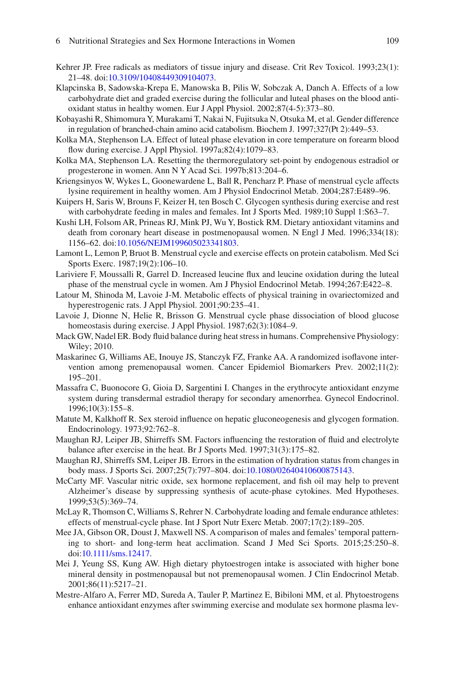- <span id="page-22-0"></span> Kehrer JP. Free radicals as mediators of tissue injury and disease. Crit Rev Toxicol. 1993;23(1): 21–48. doi:[10.3109/10408449309104073.](http://dx.doi.org/10.3109/10408449309104073)
- Klapcinska B, Sadowska-Krepa E, Manowska B, Pilis W, Sobczak A, Danch A. Effects of a low carbohydrate diet and graded exercise during the follicular and luteal phases on the blood antioxidant status in healthy women. Eur J Appl Physiol. 2002;87(4-5):373–80.
- Kobayashi R, Shimomura Y, Murakami T, Nakai N, Fujitsuka N, Otsuka M, et al. Gender difference in regulation of branched-chain amino acid catabolism. Biochem J. 1997;327(Pt 2):449–53.
- Kolka MA, Stephenson LA. Effect of luteal phase elevation in core temperature on forearm blood flow during exercise. J Appl Physiol. 1997a;82(4):1079-83.
- Kolka MA, Stephenson LA. Resetting the thermoregulatory set-point by endogenous estradiol or progesterone in women. Ann N Y Acad Sci. 1997b;813:204–6.
- Kriengsinyos W, Wykes L, Goonewardene L, Ball R, Pencharz P. Phase of menstrual cycle affects lysine requirement in healthy women. Am J Physiol Endocrinol Metab. 2004;287:E489–96.
- Kuipers H, Saris W, Brouns F, Keizer H, ten Bosch C. Glycogen synthesis during exercise and rest with carbohydrate feeding in males and females. Int J Sports Med. 1989;10 Suppl 1:S63–7.
- Kushi LH, Folsom AR, Prineas RJ, Mink PJ, Wu Y, Bostick RM. Dietary antioxidant vitamins and death from coronary heart disease in postmenopausal women. N Engl J Med. 1996;334(18): 1156–62. doi:[10.1056/NEJM199605023341803.](http://dx.doi.org/10.1056/NEJM199605023341803)
- Lamont L, Lemon P, Bruot B. Menstrual cycle and exercise effects on protein catabolism. Med Sci Sports Exerc. 1987;19(2):106–10.
- Lariviere F, Moussalli R, Garrel D. Increased leucine flux and leucine oxidation during the luteal phase of the menstrual cycle in women. Am J Physiol Endocrinol Metab. 1994;267:E422–8.
- Latour M, Shinoda M, Lavoie J-M. Metabolic effects of physical training in ovariectomized and hyperestrogenic rats. J Appl Physiol. 2001;90:235–41.
- Lavoie J, Dionne N, Helie R, Brisson G. Menstrual cycle phase dissociation of blood glucose homeostasis during exercise. J Appl Physiol. 1987;62(3):1084–9.
- Mack GW, Nadel ER. Body fluid balance during heat stress in humans. Comprehensive Physiology: Wiley; 2010.
- Maskarinec G, Williams AE, Inouye JS, Stanczyk FZ, Franke AA. A randomized isoflavone intervention among premenopausal women. Cancer Epidemiol Biomarkers Prev. 2002;11(2): 195–201.
- Massafra C, Buonocore G, Gioia D, Sargentini I. Changes in the erythrocyte antioxidant enzyme system during transdermal estradiol therapy for secondary amenorrhea. Gynecol Endocrinol. 1996;10(3):155–8.
- Matute M, Kalkhoff R. Sex steroid influence on hepatic gluconeogenesis and glycogen formation. Endocrinology. 1973;92:762–8.
- Maughan RJ, Leiper JB, Shirreffs SM. Factors influencing the restoration of fluid and electrolyte balance after exercise in the heat. Br J Sports Med. 1997;31(3):175–82.
- Maughan RJ, Shirreffs SM, Leiper JB. Errors in the estimation of hydration status from changes in body mass. J Sports Sci. 2007;25(7):797–804. doi:[10.1080/02640410600875143](http://dx.doi.org/10.1080/02640410600875143).
- McCarty MF. Vascular nitric oxide, sex hormone replacement, and fish oil may help to prevent Alzheimer's disease by suppressing synthesis of acute-phase cytokines. Med Hypotheses. 1999;53(5):369–74.
- McLay R, Thomson C, Williams S, Rehrer N. Carbohydrate loading and female endurance athletes: effects of menstrual-cycle phase. Int J Sport Nutr Exerc Metab. 2007;17(2):189–205.
- Mee JA, Gibson OR, Doust J, Maxwell NS. A comparison of males and females' temporal patterning to short- and long-term heat acclimation. Scand J Med Sci Sports. 2015;25:250–8. doi[:10.1111/sms.12417.](http://dx.doi.org/10.1111/sms.12417)
- Mei J, Yeung SS, Kung AW. High dietary phytoestrogen intake is associated with higher bone mineral density in postmenopausal but not premenopausal women. J Clin Endocrinol Metab. 2001;86(11):5217–21.
- Mestre-Alfaro A, Ferrer MD, Sureda A, Tauler P, Martinez E, Bibiloni MM, et al. Phytoestrogens enhance antioxidant enzymes after swimming exercise and modulate sex hormone plasma lev-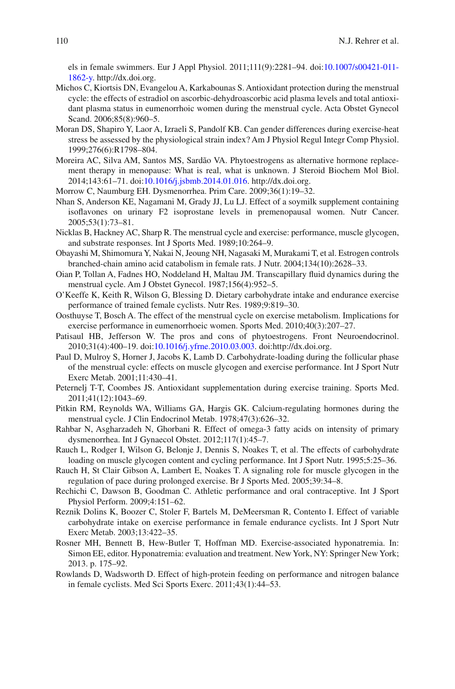<span id="page-23-0"></span>els in female swimmers. Eur J Appl Physiol. 2011;111(9):2281–94. doi:[10.1007/s00421-011-](http://dx.doi.org/10.1007/s00421-011-1862-y)  [1862-y](http://dx.doi.org/10.1007/s00421-011-1862-y). http://dx.doi.org.

- Michos C, Kiortsis DN, Evangelou A, Karkabounas S. Antioxidant protection during the menstrual cycle: the effects of estradiol on ascorbic-dehydroascorbic acid plasma levels and total antioxidant plasma status in eumenorrhoic women during the menstrual cycle. Acta Obstet Gynecol Scand. 2006;85(8):960-5.
- Moran DS, Shapiro Y, Laor A, Izraeli S, Pandolf KB. Can gender differences during exercise-heat stress be assessed by the physiological strain index? Am J Physiol Regul Integr Comp Physiol. 1999;276(6):R1798–804.
- Moreira AC, Silva AM, Santos MS, Sardão VA. Phytoestrogens as alternative hormone replacement therapy in menopause: What is real, what is unknown. J Steroid Biochem Mol Biol. 2014;143:61–71. doi[:10.1016/j.jsbmb.2014.01.016.](http://dx.doi.org/10.1016/j.jsbmb.2014.01.016) http://dx.doi.org.
- Morrow C, Naumburg EH. Dysmenorrhea. Prim Care. 2009;36(1):19–32.
- Nhan S, Anderson KE, Nagamani M, Grady JJ, Lu LJ. Effect of a soymilk supplement containing isoflavones on urinary F2 isoprostane levels in premenopausal women. Nutr Cancer. 2005;53(1):73–81.
- Nicklas B, Hackney AC, Sharp R. The menstrual cycle and exercise: performance, muscle glycogen, and substrate responses. Int J Sports Med. 1989;10:264–9.
- Obayashi M, Shimomura Y, Nakai N, Jeoung NH, Nagasaki M, Murakami T, et al. Estrogen controls branched-chain amino acid catabolism in female rats. J Nutr. 2004;134(10):2628–33.
- Oian P, Tollan A, Fadnes HO, Noddeland H, Maltau JM. Transcapillary fluid dynamics during the menstrual cycle. Am J Obstet Gynecol. 1987;156(4):952–5.
- O'Keeffe K, Keith R, Wilson G, Blessing D. Dietary carbohydrate intake and endurance exercise performance of trained female cyclists. Nutr Res. 1989;9:819–30.
- Oosthuyse T, Bosch A. The effect of the menstrual cycle on exercise metabolism. Implications for exercise performance in eumenorrhoeic women. Sports Med. 2010;40(3):207–27.
- Patisaul HB, Jefferson W. The pros and cons of phytoestrogens. Front Neuroendocrinol. 2010;31(4):400–19. doi:[10.1016/j.yfrne.2010.03.003](http://dx.doi.org/10.1016/j.yfrne.2010.03.003). doi:http://dx.doi.org.
- Paul D, Mulroy S, Horner J, Jacobs K, Lamb D. Carbohydrate-loading during the follicular phase of the menstrual cycle: effects on muscle glycogen and exercise performance. Int J Sport Nutr Exerc Metab. 2001;11:430–41.
- Peternelj T-T, Coombes JS. Antioxidant supplementation during exercise training. Sports Med. 2011;41(12):1043–69.
- Pitkin RM, Reynolds WA, Williams GA, Hargis GK. Calcium-regulating hormones during the menstrual cycle. J Clin Endocrinol Metab. 1978;47(3):626–32.
- Rahbar N, Asgharzadeh N, Ghorbani R. Effect of omega-3 fatty acids on intensity of primary dysmenorrhea. Int J Gynaecol Obstet. 2012;117(1):45–7.
- Rauch L, Rodger I, Wilson G, Belonje J, Dennis S, Noakes T, et al. The effects of carbohydrate loading on muscle glycogen content and cycling performance. Int J Sport Nutr. 1995;5:25–36.
- Rauch H, St Clair Gibson A, Lambert E, Noakes T. A signaling role for muscle glycogen in the regulation of pace during prolonged exercise. Br J Sports Med. 2005;39:34–8.
- Rechichi C, Dawson B, Goodman C. Athletic performance and oral contraceptive. Int J Sport Physiol Perform. 2009;4:151–62.
- Reznik Dolins K, Boozer C, Stoler F, Bartels M, DeMeersman R, Contento I. Effect of variable carbohydrate intake on exercise performance in female endurance cyclists. Int J Sport Nutr Exerc Metab. 2003;13:422–35.
- Rosner MH, Bennett B, Hew-Butler T, Hoffman MD. Exercise-associated hyponatremia. In: Simon EE, editor. Hyponatremia: evaluation and treatment. New York, NY: Springer New York; 2013. p. 175–92.
- Rowlands D, Wadsworth D. Effect of high-protein feeding on performance and nitrogen balance in female cyclists. Med Sci Sports Exerc. 2011;43(1):44–53.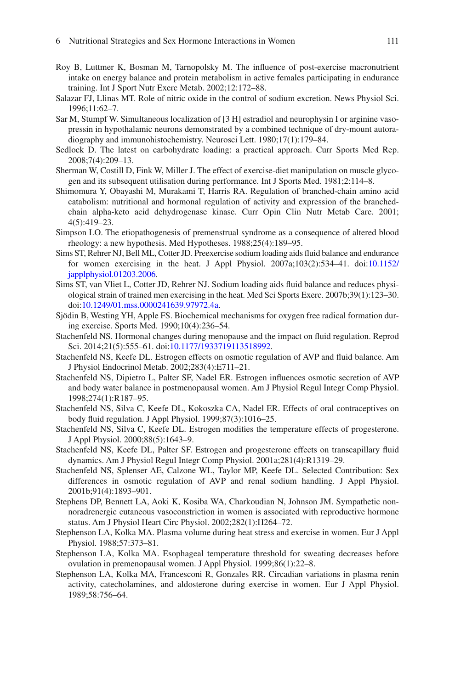- <span id="page-24-0"></span>Roy B, Luttmer K, Bosman M, Tarnopolsky M. The influence of post-exercise macronutrient intake on energy balance and protein metabolism in active females participating in endurance training. Int J Sport Nutr Exerc Metab. 2002;12:172–88.
- Salazar FJ, Llinas MT. Role of nitric oxide in the control of sodium excretion. News Physiol Sci. 1996;11:62–7.
- Sar M, Stumpf W. Simultaneous localization of [3 H] estradiol and neurophysin I or arginine vasopressin in hypothalamic neurons demonstrated by a combined technique of dry-mount autoradiography and immunohistochemistry. Neurosci Lett. 1980;17(1):179–84.
- Sedlock D. The latest on carbohydrate loading: a practical approach. Curr Sports Med Rep. 2008;7(4):209–13.
- Sherman W, Costill D, Fink W, Miller J. The effect of exercise-diet manipulation on muscle glycogen and its subsequent utilisation during performance. Int J Sports Med. 1981;2:114–8.
- Shimomura Y, Obayashi M, Murakami T, Harris RA. Regulation of branched-chain amino acid catabolism: nutritional and hormonal regulation of activity and expression of the branchedchain alpha-keto acid dehydrogenase kinase. Curr Opin Clin Nutr Metab Care. 2001; 4(5):419–23.
- Simpson LO. The etiopathogenesis of premenstrual syndrome as a consequence of altered blood rheology: a new hypothesis. Med Hypotheses. 1988;25(4):189–95.
- Sims ST, Rehrer NJ, Bell ML, Cotter JD. Preexercise sodium loading aids fluid balance and endurance for women exercising in the heat. J Appl Physiol. 2007a;103(2):534–41. doi:[10.1152/](http://dx.doi.org/10.1152/japplphysiol.01203.2006) [japplphysiol.01203.2006](http://dx.doi.org/10.1152/japplphysiol.01203.2006).
- Sims ST, van Vliet L, Cotter JD, Rehrer NJ. Sodium loading aids fluid balance and reduces physiological strain of trained men exercising in the heat. Med Sci Sports Exerc. 2007b;39(1):123–30. doi[:10.1249/01.mss.0000241639.97972.4a](http://dx.doi.org/10.1249/01.mss.0000241639.97972.4a).
- Sjödin B, Westing YH, Apple FS. Biochemical mechanisms for oxygen free radical formation during exercise. Sports Med. 1990;10(4):236–54.
- Stachenfeld NS. Hormonal changes during menopause and the impact on fluid regulation. Reprod Sci. 2014;21(5):555–61. doi[:10.1177/1933719113518992](http://dx.doi.org/10.1177/1933719113518992).
- Stachenfeld NS, Keefe DL. Estrogen effects on osmotic regulation of AVP and fluid balance. Am J Physiol Endocrinol Metab. 2002;283(4):E711–21.
- Stachenfeld NS, Dipietro L, Palter SF, Nadel ER. Estrogen influences osmotic secretion of AVP and body water balance in postmenopausal women. Am J Physiol Regul Integr Comp Physiol. 1998;274(1):R187–95.
- Stachenfeld NS, Silva C, Keefe DL, Kokoszka CA, Nadel ER. Effects of oral contraceptives on body fluid regulation. J Appl Physiol.  $1999:87(3):1016-25$ .
- Stachenfeld NS, Silva C, Keefe DL. Estrogen modifies the temperature effects of progesterone. J Appl Physiol. 2000;88(5):1643–9.
- Stachenfeld NS, Keefe DL, Palter SF. Estrogen and progesterone effects on transcapillary fluid dynamics. Am J Physiol Regul Integr Comp Physiol. 2001a;281(4):R1319–29.
- Stachenfeld NS, Splenser AE, Calzone WL, Taylor MP, Keefe DL. Selected Contribution: Sex differences in osmotic regulation of AVP and renal sodium handling. J Appl Physiol. 2001b;91(4):1893–901.
- Stephens DP, Bennett LA, Aoki K, Kosiba WA, Charkoudian N, Johnson JM. Sympathetic nonnoradrenergic cutaneous vasoconstriction in women is associated with reproductive hormone status. Am J Physiol Heart Circ Physiol. 2002;282(1):H264–72.
- Stephenson LA, Kolka MA. Plasma volume during heat stress and exercise in women. Eur J Appl Physiol. 1988;57:373–81.
- Stephenson LA, Kolka MA. Esophageal temperature threshold for sweating decreases before ovulation in premenopausal women. J Appl Physiol. 1999;86(1):22–8.
- Stephenson LA, Kolka MA, Francesconi R, Gonzales RR. Circadian variations in plasma renin activity, catecholamines, and aldosterone during exercise in women. Eur J Appl Physiol. 1989;58:756–64.